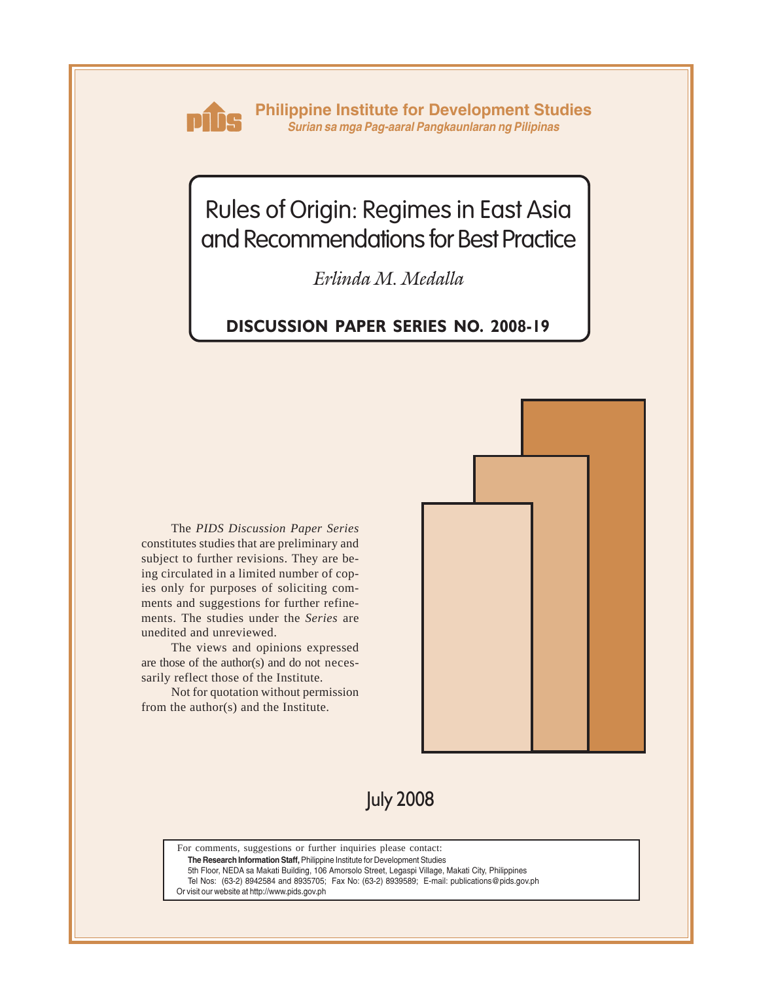

**Philippine Institute for Development Studies** *Surian sa mga Pag-aaral Pangkaunlaran ng Pilipinas*

# Rules of Origin: Regimes in East Asia and Recommendations for Best Practice

*Erlinda M. Medalla*

## **DISCUSSION PAPER SERIES NO. 2008-19**

The *PIDS Discussion Paper Series* constitutes studies that are preliminary and subject to further revisions. They are being circulated in a limited number of copies only for purposes of soliciting comments and suggestions for further refinements. The studies under the *Series* are unedited and unreviewed.

The views and opinions expressed are those of the author(s) and do not necessarily reflect those of the Institute.

Not for quotation without permission from the author(s) and the Institute.



July 2008

For comments, suggestions or further inquiries please contact:

**The Research Information Staff,** Philippine Institute for Development Studies

5th Floor, NEDA sa Makati Building, 106 Amorsolo Street, Legaspi Village, Makati City, Philippines

Tel Nos: (63-2) 8942584 and 8935705; Fax No: (63-2) 8939589; E-mail: publications@pids.gov.ph

Or visit our website at http://www.pids.gov.ph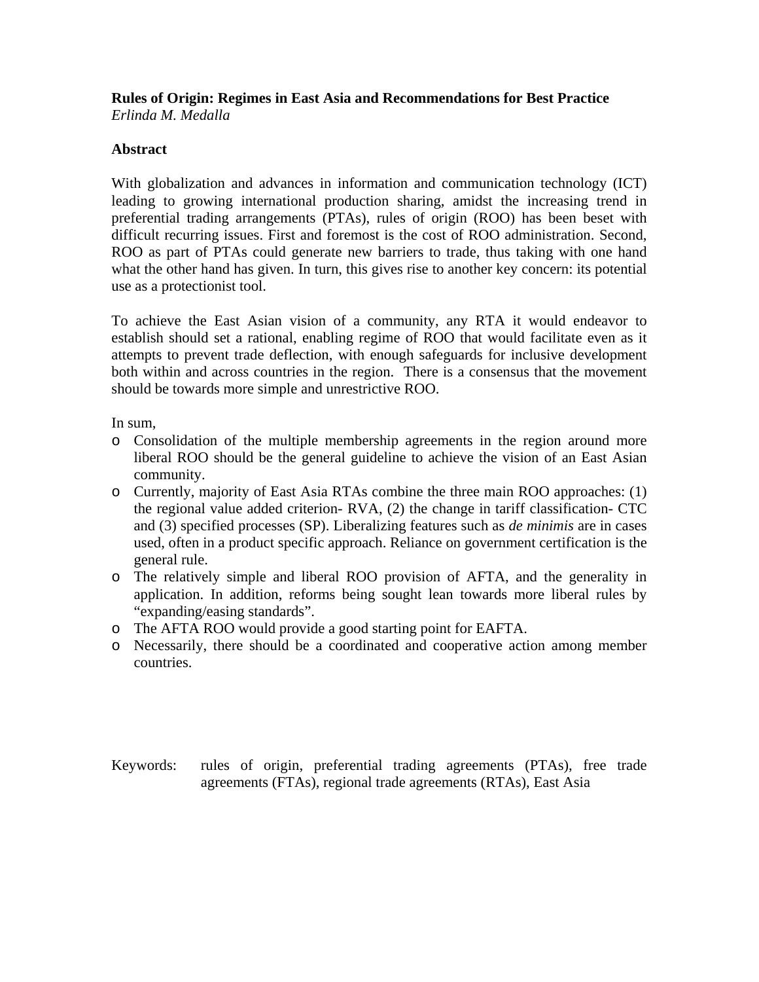# **Rules of Origin: Regimes in East Asia and Recommendations for Best Practice**

*Erlinda M. Medalla*

## **Abstract**

With globalization and advances in information and communication technology (ICT) leading to growing international production sharing, amidst the increasing trend in preferential trading arrangements (PTAs), rules of origin (ROO) has been beset with difficult recurring issues. First and foremost is the cost of ROO administration. Second, ROO as part of PTAs could generate new barriers to trade, thus taking with one hand what the other hand has given. In turn, this gives rise to another key concern: its potential use as a protectionist tool.

To achieve the East Asian vision of a community, any RTA it would endeavor to establish should set a rational, enabling regime of ROO that would facilitate even as it attempts to prevent trade deflection, with enough safeguards for inclusive development both within and across countries in the region. There is a consensus that the movement should be towards more simple and unrestrictive ROO.

In sum,

- o Consolidation of the multiple membership agreements in the region around more liberal ROO should be the general guideline to achieve the vision of an East Asian community.
- o Currently, majority of East Asia RTAs combine the three main ROO approaches: (1) the regional value added criterion- RVA, (2) the change in tariff classification- CTC and (3) specified processes (SP). Liberalizing features such as *de minimis* are in cases used, often in a product specific approach. Reliance on government certification is the general rule.
- o The relatively simple and liberal ROO provision of AFTA, and the generality in application. In addition, reforms being sought lean towards more liberal rules by "expanding/easing standards".
- o The AFTA ROO would provide a good starting point for EAFTA.
- o Necessarily, there should be a coordinated and cooperative action among member countries.
- Keywords: rules of origin, preferential trading agreements (PTAs), free trade agreements (FTAs), regional trade agreements (RTAs), East Asia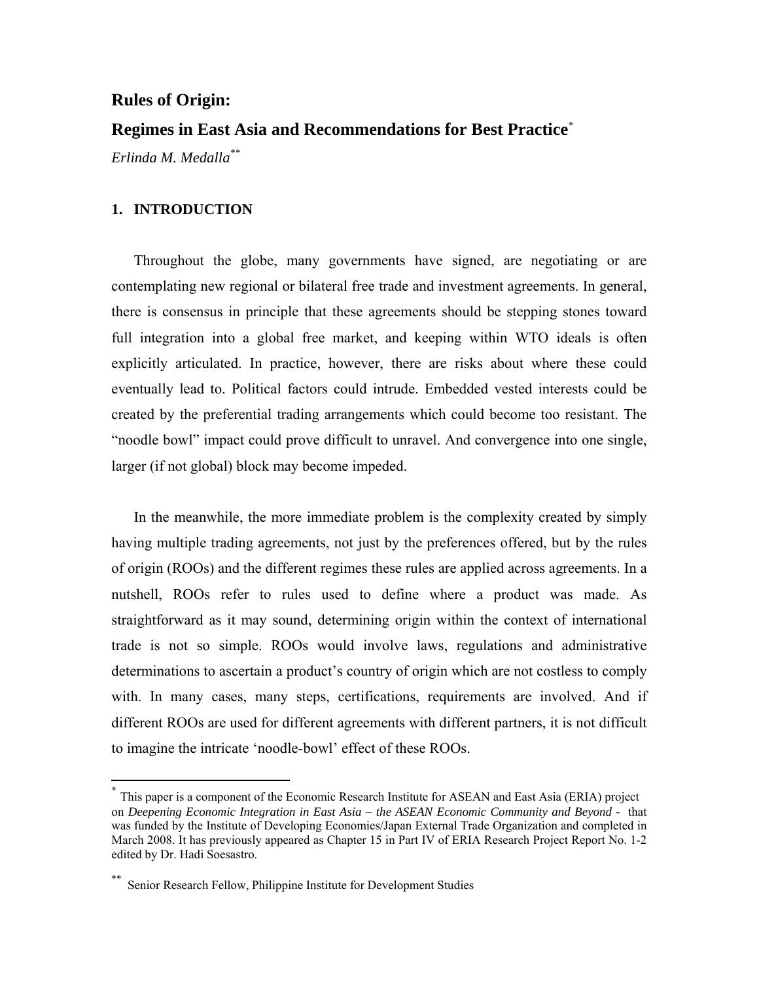## **Rules of Origin:**

## **Regimes in East Asia and Recommendations for Best Practice***\**

*Erlinda M. Medalla\*\**

#### **1. INTRODUCTION**

 $\overline{a}$ 

Throughout the globe, many governments have signed, are negotiating or are contemplating new regional or bilateral free trade and investment agreements. In general, there is consensus in principle that these agreements should be stepping stones toward full integration into a global free market, and keeping within WTO ideals is often explicitly articulated. In practice, however, there are risks about where these could eventually lead to. Political factors could intrude. Embedded vested interests could be created by the preferential trading arrangements which could become too resistant. The "noodle bowl" impact could prove difficult to unravel. And convergence into one single, larger (if not global) block may become impeded.

In the meanwhile, the more immediate problem is the complexity created by simply having multiple trading agreements, not just by the preferences offered, but by the rules of origin (ROOs) and the different regimes these rules are applied across agreements. In a nutshell, ROOs refer to rules used to define where a product was made. As straightforward as it may sound, determining origin within the context of international trade is not so simple. ROOs would involve laws, regulations and administrative determinations to ascertain a product's country of origin which are not costless to comply with. In many cases, many steps, certifications, requirements are involved. And if different ROOs are used for different agreements with different partners, it is not difficult to imagine the intricate 'noodle-bowl' effect of these ROOs.

This paper is a component of the Economic Research Institute for ASEAN and East Asia (ERIA) project on *Deepening Economic Integration in East Asia – the ASEAN Economic Community and Beyond -* that was funded by the Institute of Developing Economies/Japan External Trade Organization and completed in March 2008. It has previously appeared as Chapter 15 in Part IV of ERIA Research Project Report No. 1-2 edited by Dr. Hadi Soesastro.

Senior Research Fellow, Philippine Institute for Development Studies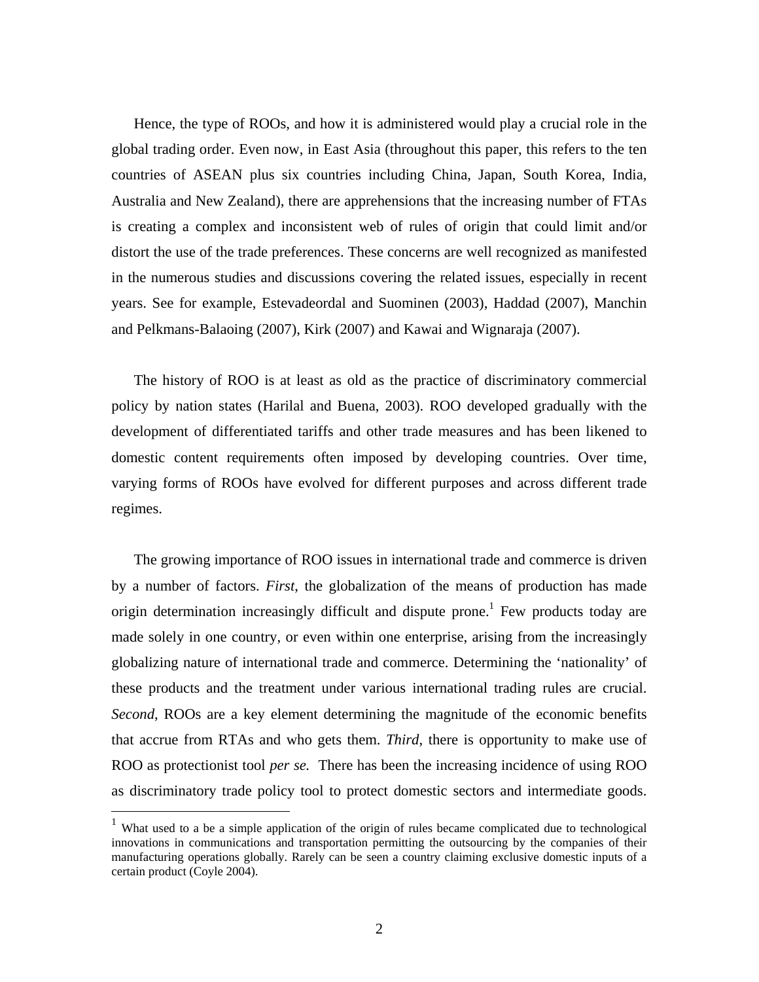Hence, the type of ROOs, and how it is administered would play a crucial role in the global trading order. Even now, in East Asia (throughout this paper, this refers to the ten countries of ASEAN plus six countries including China, Japan, South Korea, India, Australia and New Zealand), there are apprehensions that the increasing number of FTAs is creating a complex and inconsistent web of rules of origin that could limit and/or distort the use of the trade preferences. These concerns are well recognized as manifested in the numerous studies and discussions covering the related issues, especially in recent years. See for example, Estevadeordal and Suominen (2003), Haddad (2007), Manchin and Pelkmans-Balaoing (2007), Kirk (2007) and Kawai and Wignaraja (2007).

The history of ROO is at least as old as the practice of discriminatory commercial policy by nation states (Harilal and Buena, 2003). ROO developed gradually with the development of differentiated tariffs and other trade measures and has been likened to domestic content requirements often imposed by developing countries. Over time, varying forms of ROOs have evolved for different purposes and across different trade regimes.

The growing importance of ROO issues in international trade and commerce is driven by a number of factors. *First*, the globalization of the means of production has made origin determination increasingly difficult and dispute prone.<sup>1</sup> Few products today are made solely in one country, or even within one enterprise, arising from the increasingly globalizing nature of international trade and commerce. Determining the 'nationality' of these products and the treatment under various international trading rules are crucial. *Second*, ROOs are a key element determining the magnitude of the economic benefits that accrue from RTAs and who gets them. *Third*, there is opportunity to make use of ROO as protectionist tool *per se.* There has been the increasing incidence of using ROO as discriminatory trade policy tool to protect domestic sectors and intermediate goods.

1

<sup>&</sup>lt;sup>1</sup> What used to a be a simple application of the origin of rules became complicated due to technological innovations in communications and transportation permitting the outsourcing by the companies of their manufacturing operations globally. Rarely can be seen a country claiming exclusive domestic inputs of a certain product (Coyle 2004).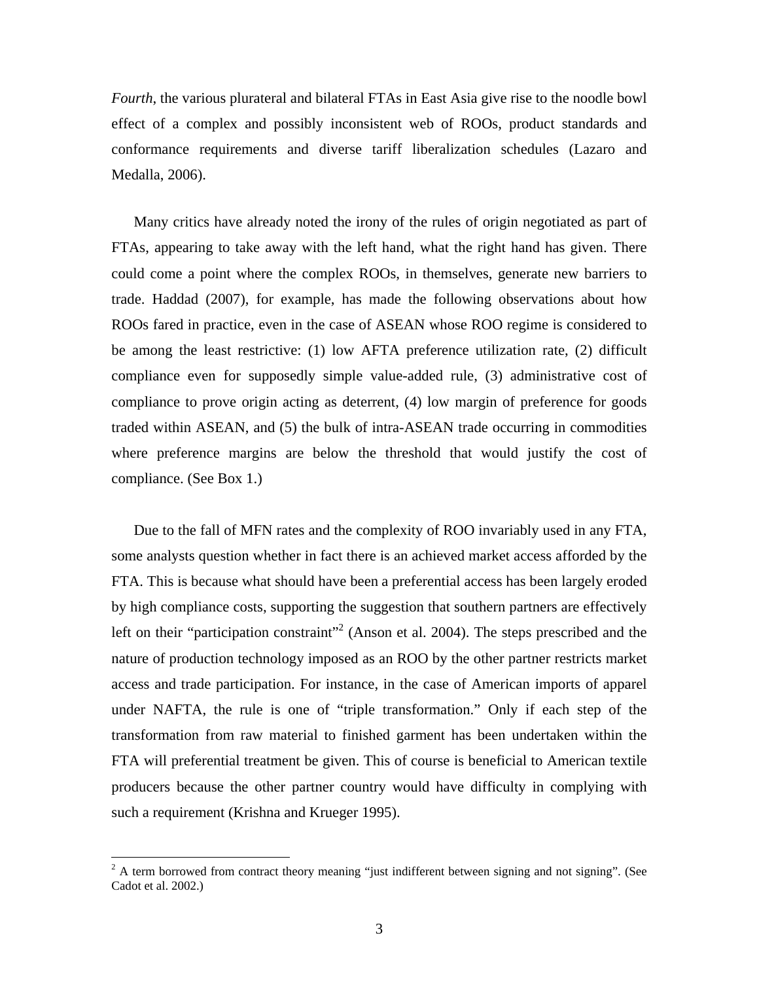*Fourth*, the various plurateral and bilateral FTAs in East Asia give rise to the noodle bowl effect of a complex and possibly inconsistent web of ROOs, product standards and conformance requirements and diverse tariff liberalization schedules (Lazaro and Medalla, 2006).

Many critics have already noted the irony of the rules of origin negotiated as part of FTAs, appearing to take away with the left hand, what the right hand has given. There could come a point where the complex ROOs, in themselves, generate new barriers to trade. Haddad (2007), for example, has made the following observations about how ROOs fared in practice, even in the case of ASEAN whose ROO regime is considered to be among the least restrictive: (1) low AFTA preference utilization rate, (2) difficult compliance even for supposedly simple value-added rule, (3) administrative cost of compliance to prove origin acting as deterrent, (4) low margin of preference for goods traded within ASEAN, and (5) the bulk of intra-ASEAN trade occurring in commodities where preference margins are below the threshold that would justify the cost of compliance. (See Box 1.)

Due to the fall of MFN rates and the complexity of ROO invariably used in any FTA, some analysts question whether in fact there is an achieved market access afforded by the FTA. This is because what should have been a preferential access has been largely eroded by high compliance costs, supporting the suggestion that southern partners are effectively left on their "participation constraint"<sup>2</sup> (Anson et al. 2004). The steps prescribed and the nature of production technology imposed as an ROO by the other partner restricts market access and trade participation. For instance, in the case of American imports of apparel under NAFTA, the rule is one of "triple transformation." Only if each step of the transformation from raw material to finished garment has been undertaken within the FTA will preferential treatment be given. This of course is beneficial to American textile producers because the other partner country would have difficulty in complying with such a requirement (Krishna and Krueger 1995).

 $\overline{a}$ 

 $2^2$  A term borrowed from contract theory meaning "just indifferent between signing and not signing". (See Cadot et al. 2002.)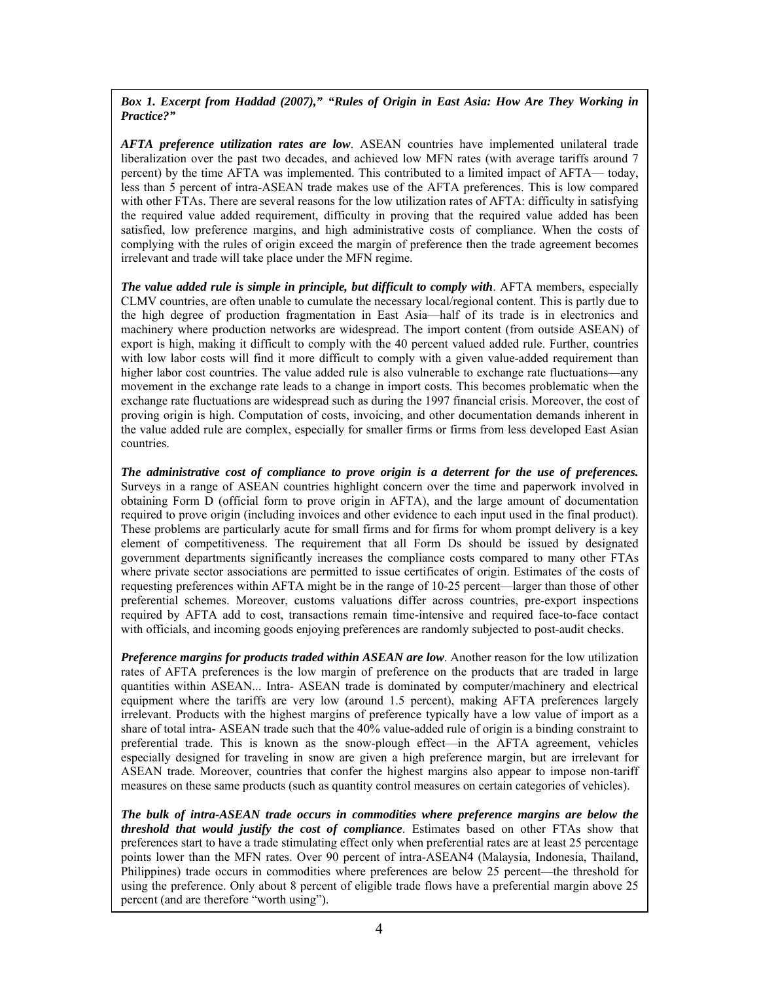*Box 1. Excerpt from Haddad (2007)," "Rules of Origin in East Asia: How Are They Working in Practice?"* 

*AFTA preference utilization rates are low*. ASEAN countries have implemented unilateral trade liberalization over the past two decades, and achieved low MFN rates (with average tariffs around 7 percent) by the time AFTA was implemented. This contributed to a limited impact of AFTA— today, less than 5 percent of intra-ASEAN trade makes use of the AFTA preferences. This is low compared with other FTAs. There are several reasons for the low utilization rates of AFTA: difficulty in satisfying the required value added requirement, difficulty in proving that the required value added has been satisfied, low preference margins, and high administrative costs of compliance. When the costs of complying with the rules of origin exceed the margin of preference then the trade agreement becomes irrelevant and trade will take place under the MFN regime.

*The value added rule is simple in principle, but difficult to comply with***. AFTA members, especially** CLMV countries, are often unable to cumulate the necessary local/regional content. This is partly due to the high degree of production fragmentation in East Asia—half of its trade is in electronics and machinery where production networks are widespread. The import content (from outside ASEAN) of export is high, making it difficult to comply with the 40 percent valued added rule. Further, countries with low labor costs will find it more difficult to comply with a given value-added requirement than higher labor cost countries. The value added rule is also vulnerable to exchange rate fluctuations—any movement in the exchange rate leads to a change in import costs. This becomes problematic when the exchange rate fluctuations are widespread such as during the 1997 financial crisis. Moreover, the cost of proving origin is high. Computation of costs, invoicing, and other documentation demands inherent in the value added rule are complex, especially for smaller firms or firms from less developed East Asian countries.

*The administrative cost of compliance to prove origin is a deterrent for the use of preferences.* Surveys in a range of ASEAN countries highlight concern over the time and paperwork involved in obtaining Form D (official form to prove origin in AFTA), and the large amount of documentation required to prove origin (including invoices and other evidence to each input used in the final product). These problems are particularly acute for small firms and for firms for whom prompt delivery is a key element of competitiveness. The requirement that all Form Ds should be issued by designated government departments significantly increases the compliance costs compared to many other FTAs where private sector associations are permitted to issue certificates of origin. Estimates of the costs of requesting preferences within AFTA might be in the range of 10-25 percent—larger than those of other preferential schemes. Moreover, customs valuations differ across countries, pre-export inspections required by AFTA add to cost, transactions remain time-intensive and required face-to-face contact with officials, and incoming goods enjoying preferences are randomly subjected to post-audit checks.

*Preference margins for products traded within ASEAN are low*. Another reason for the low utilization rates of AFTA preferences is the low margin of preference on the products that are traded in large quantities within ASEAN... Intra- ASEAN trade is dominated by computer/machinery and electrical equipment where the tariffs are very low (around 1.5 percent), making AFTA preferences largely irrelevant. Products with the highest margins of preference typically have a low value of import as a share of total intra- ASEAN trade such that the 40% value-added rule of origin is a binding constraint to preferential trade. This is known as the snow-plough effect—in the AFTA agreement, vehicles especially designed for traveling in snow are given a high preference margin, but are irrelevant for ASEAN trade. Moreover, countries that confer the highest margins also appear to impose non-tariff measures on these same products (such as quantity control measures on certain categories of vehicles).

*The bulk of intra-ASEAN trade occurs in commodities where preference margins are below the threshold that would justify the cost of compliance*. Estimates based on other FTAs show that preferences start to have a trade stimulating effect only when preferential rates are at least 25 percentage points lower than the MFN rates. Over 90 percent of intra-ASEAN4 (Malaysia, Indonesia, Thailand, Philippines) trade occurs in commodities where preferences are below 25 percent—the threshold for using the preference. Only about 8 percent of eligible trade flows have a preferential margin above 25 percent (and are therefore "worth using").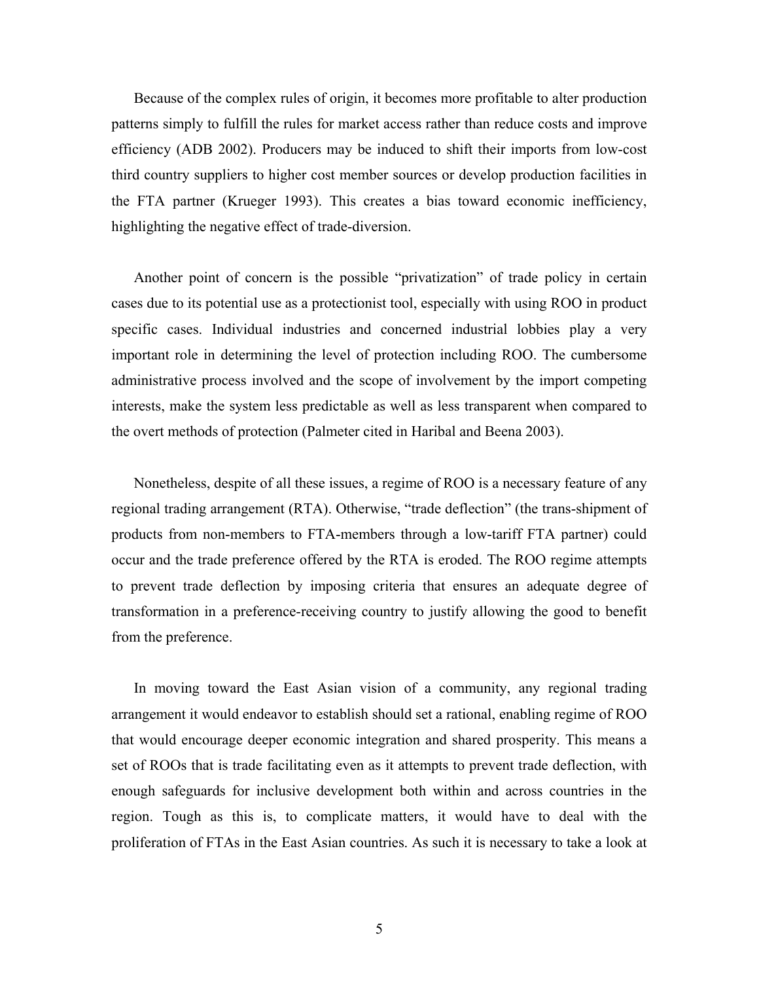Because of the complex rules of origin, it becomes more profitable to alter production patterns simply to fulfill the rules for market access rather than reduce costs and improve efficiency (ADB 2002). Producers may be induced to shift their imports from low-cost third country suppliers to higher cost member sources or develop production facilities in the FTA partner (Krueger 1993). This creates a bias toward economic inefficiency, highlighting the negative effect of trade-diversion.

Another point of concern is the possible "privatization" of trade policy in certain cases due to its potential use as a protectionist tool, especially with using ROO in product specific cases. Individual industries and concerned industrial lobbies play a very important role in determining the level of protection including ROO. The cumbersome administrative process involved and the scope of involvement by the import competing interests, make the system less predictable as well as less transparent when compared to the overt methods of protection (Palmeter cited in Haribal and Beena 2003).

Nonetheless, despite of all these issues, a regime of ROO is a necessary feature of any regional trading arrangement (RTA). Otherwise, "trade deflection" (the trans-shipment of products from non-members to FTA-members through a low-tariff FTA partner) could occur and the trade preference offered by the RTA is eroded. The ROO regime attempts to prevent trade deflection by imposing criteria that ensures an adequate degree of transformation in a preference-receiving country to justify allowing the good to benefit from the preference.

In moving toward the East Asian vision of a community, any regional trading arrangement it would endeavor to establish should set a rational, enabling regime of ROO that would encourage deeper economic integration and shared prosperity. This means a set of ROOs that is trade facilitating even as it attempts to prevent trade deflection, with enough safeguards for inclusive development both within and across countries in the region. Tough as this is, to complicate matters, it would have to deal with the proliferation of FTAs in the East Asian countries. As such it is necessary to take a look at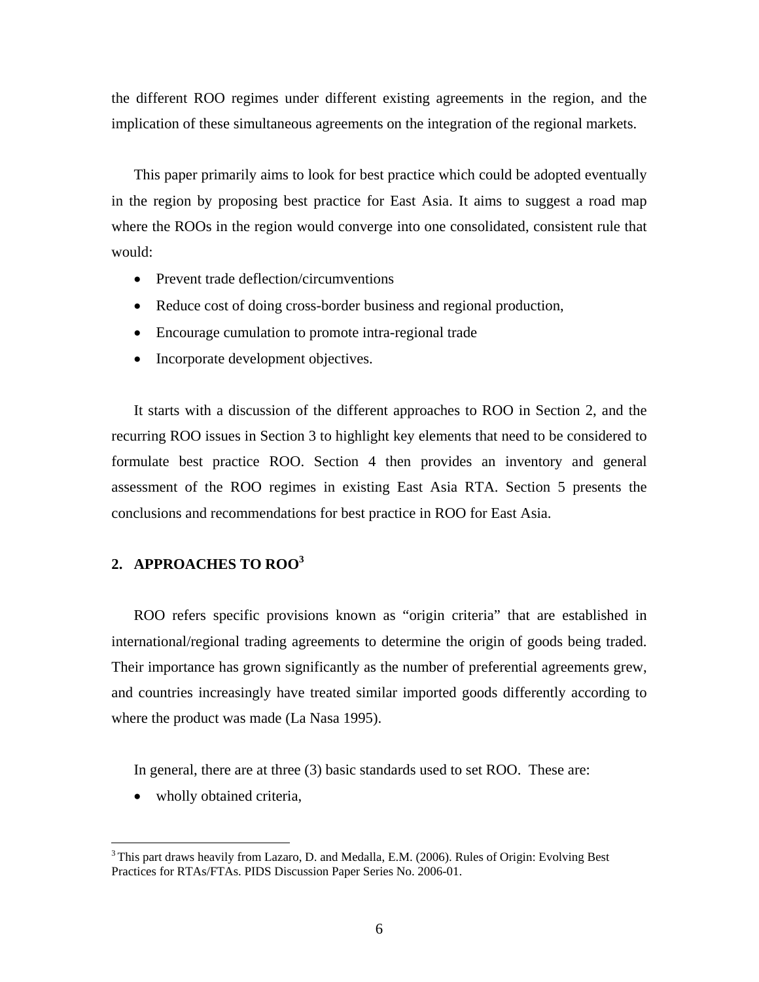the different ROO regimes under different existing agreements in the region, and the implication of these simultaneous agreements on the integration of the regional markets.

This paper primarily aims to look for best practice which could be adopted eventually in the region by proposing best practice for East Asia. It aims to suggest a road map where the ROOs in the region would converge into one consolidated, consistent rule that would:

- Prevent trade deflection/circumventions
- Reduce cost of doing cross-border business and regional production,
- Encourage cumulation to promote intra-regional trade
- Incorporate development objectives.

It starts with a discussion of the different approaches to ROO in Section 2, and the recurring ROO issues in Section 3 to highlight key elements that need to be considered to formulate best practice ROO. Section 4 then provides an inventory and general assessment of the ROO regimes in existing East Asia RTA. Section 5 presents the conclusions and recommendations for best practice in ROO for East Asia.

## **2. APPROACHES TO ROO3**

ROO refers specific provisions known as "origin criteria" that are established in international/regional trading agreements to determine the origin of goods being traded. Their importance has grown significantly as the number of preferential agreements grew, and countries increasingly have treated similar imported goods differently according to where the product was made (La Nasa 1995).

In general, there are at three (3) basic standards used to set ROO. These are:

• wholly obtained criteria,

 $\overline{a}$ 

<sup>&</sup>lt;sup>3</sup> This part draws heavily from Lazaro, D. and Medalla, E.M. (2006). Rules of Origin: Evolving Best Practices for RTAs/FTAs. PIDS Discussion Paper Series No. 2006-01.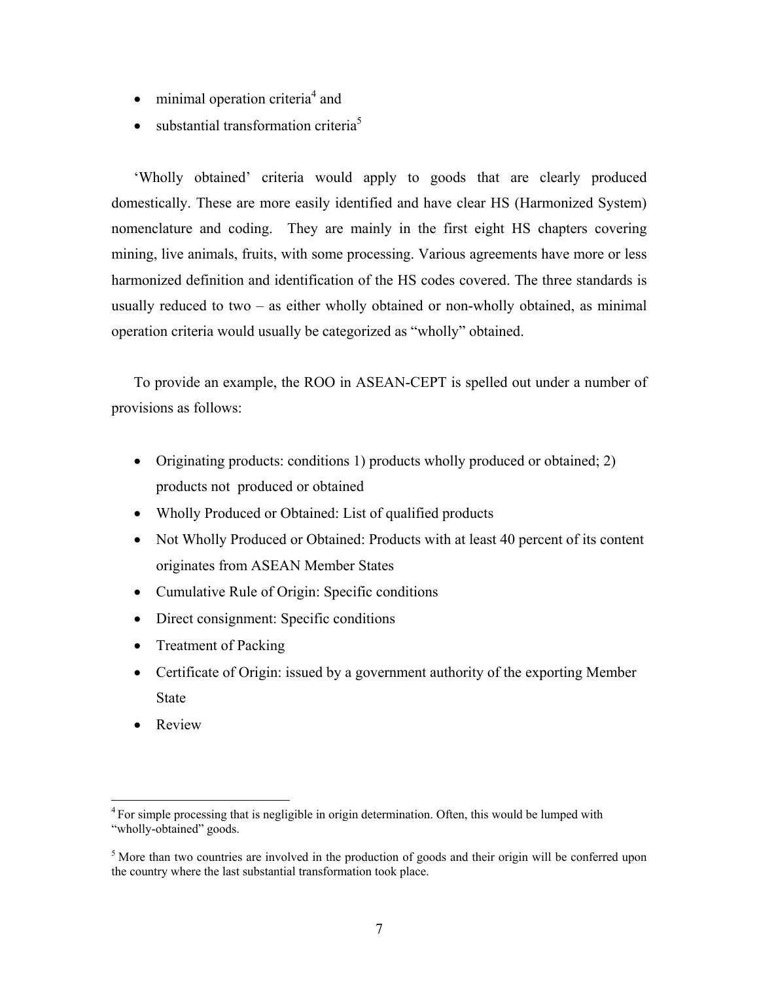- $\bullet$  minimal operation criteria<sup>4</sup> and
- substantial transformation criteria<sup>5</sup>

'Wholly obtained' criteria would apply to goods that are clearly produced domestically. These are more easily identified and have clear HS (Harmonized System) nomenclature and coding. They are mainly in the first eight HS chapters covering mining, live animals, fruits, with some processing. Various agreements have more or less harmonized definition and identification of the HS codes covered. The three standards is usually reduced to two – as either wholly obtained or non-wholly obtained, as minimal operation criteria would usually be categorized as "wholly" obtained.

To provide an example, the ROO in ASEAN-CEPT is spelled out under a number of provisions as follows:

- Originating products: conditions 1) products wholly produced or obtained; 2) products not produced or obtained
- Wholly Produced or Obtained: List of qualified products
- Not Wholly Produced or Obtained: Products with at least 40 percent of its content originates from ASEAN Member States
- Cumulative Rule of Origin: Specific conditions
- Direct consignment: Specific conditions
- Treatment of Packing
- Certificate of Origin: issued by a government authority of the exporting Member **State**
- Review

 $\overline{a}$ 

<sup>&</sup>lt;sup>4</sup> For simple processing that is negligible in origin determination. Often, this would be lumped with "wholly-obtained" goods.

<sup>&</sup>lt;sup>5</sup> More than two countries are involved in the production of goods and their origin will be conferred upon the country where the last substantial transformation took place.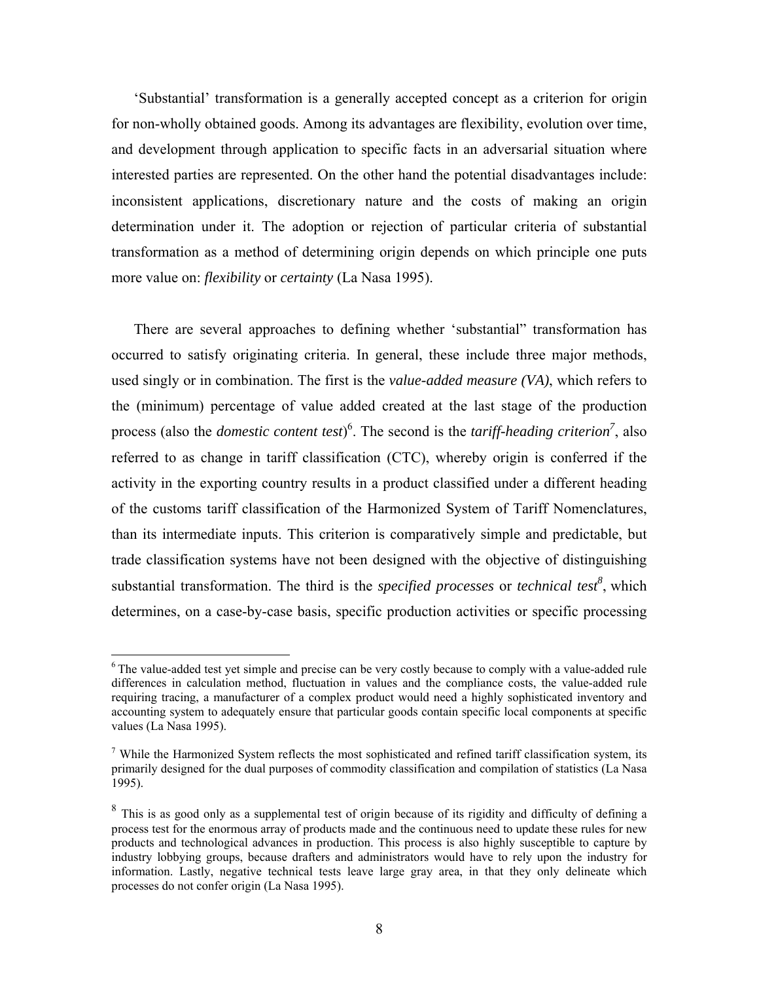'Substantial' transformation is a generally accepted concept as a criterion for origin for non-wholly obtained goods. Among its advantages are flexibility, evolution over time, and development through application to specific facts in an adversarial situation where interested parties are represented. On the other hand the potential disadvantages include: inconsistent applications, discretionary nature and the costs of making an origin determination under it. The adoption or rejection of particular criteria of substantial transformation as a method of determining origin depends on which principle one puts more value on: *flexibility* or *certainty* (La Nasa 1995).

There are several approaches to defining whether 'substantial" transformation has occurred to satisfy originating criteria. In general, these include three major methods, used singly or in combination. The first is the *value-added measure (VA)*, which refers to the (minimum) percentage of value added created at the last stage of the production process (also the *domestic content test*)<sup>6</sup>. The second is the *tariff-heading criterion*<sup>7</sup>, also referred to as change in tariff classification (CTC), whereby origin is conferred if the activity in the exporting country results in a product classified under a different heading of the customs tariff classification of the Harmonized System of Tariff Nomenclatures, than its intermediate inputs. This criterion is comparatively simple and predictable, but trade classification systems have not been designed with the objective of distinguishing substantial transformation. The third is the *specified processes* or *technical test*<sup>8</sup>, which determines, on a case-by-case basis, specific production activities or specific processing

<u>.</u>

<sup>&</sup>lt;sup>6</sup> The value-added test yet simple and precise can be very costly because to comply with a value-added rule differences in calculation method, fluctuation in values and the compliance costs, the value-added rule requiring tracing, a manufacturer of a complex product would need a highly sophisticated inventory and accounting system to adequately ensure that particular goods contain specific local components at specific values (La Nasa 1995).

<sup>&</sup>lt;sup>7</sup> While the Harmonized System reflects the most sophisticated and refined tariff classification system, its primarily designed for the dual purposes of commodity classification and compilation of statistics (La Nasa 1995).

<sup>&</sup>lt;sup>8</sup> This is as good only as a supplemental test of origin because of its rigidity and difficulty of defining a process test for the enormous array of products made and the continuous need to update these rules for new products and technological advances in production. This process is also highly susceptible to capture by industry lobbying groups, because drafters and administrators would have to rely upon the industry for information. Lastly, negative technical tests leave large gray area, in that they only delineate which processes do not confer origin (La Nasa 1995).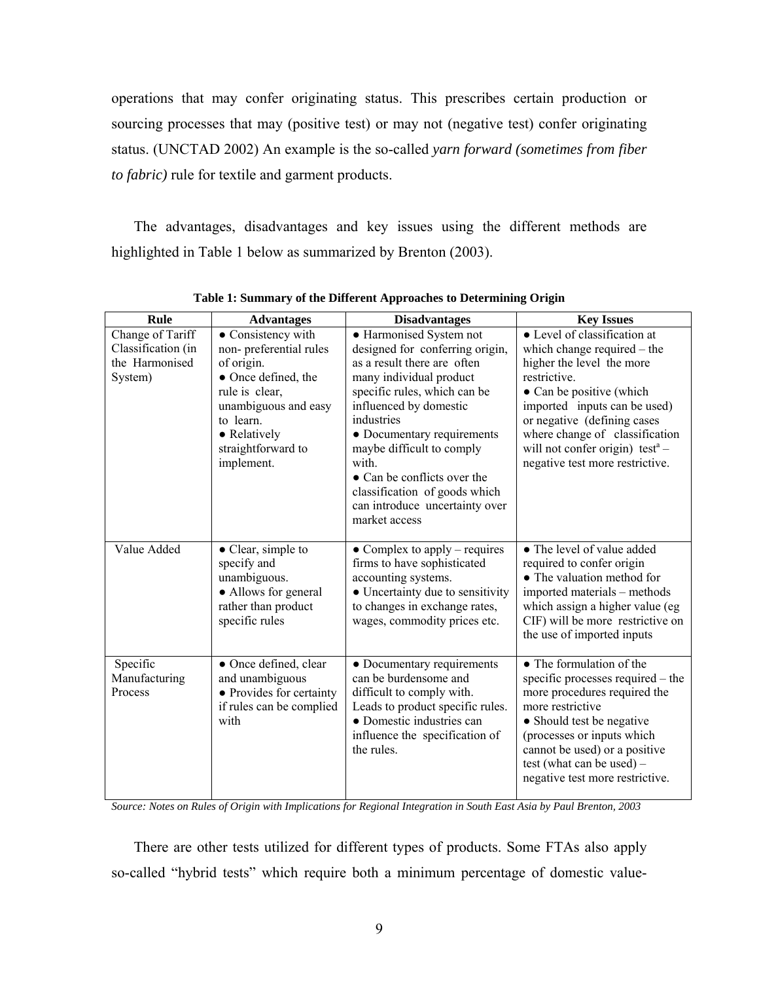operations that may confer originating status. This prescribes certain production or sourcing processes that may (positive test) or may not (negative test) confer originating status. (UNCTAD 2002) An example is the so-called *yarn forward (sometimes from fiber to fabric)* rule for textile and garment products.

The advantages, disadvantages and key issues using the different methods are highlighted in Table 1 below as summarized by Brenton (2003).

| Rule                                                                | <b>Advantages</b>                                                                                                                                                                            | <b>Disadvantages</b>                                                                                                                                                                                                                                                                                                                                                               | <b>Key Issues</b>                                                                                                                                                                                                                                                                                                       |  |  |  |
|---------------------------------------------------------------------|----------------------------------------------------------------------------------------------------------------------------------------------------------------------------------------------|------------------------------------------------------------------------------------------------------------------------------------------------------------------------------------------------------------------------------------------------------------------------------------------------------------------------------------------------------------------------------------|-------------------------------------------------------------------------------------------------------------------------------------------------------------------------------------------------------------------------------------------------------------------------------------------------------------------------|--|--|--|
| Change of Tariff<br>Classification (in<br>the Harmonised<br>System) | • Consistency with<br>non-preferential rules<br>of origin.<br>• Once defined, the<br>rule is clear,<br>unambiguous and easy<br>to learn.<br>• Relatively<br>straightforward to<br>implement. | • Harmonised System not<br>designed for conferring origin,<br>as a result there are often<br>many individual product<br>specific rules, which can be<br>influenced by domestic<br>industries<br>• Documentary requirements<br>maybe difficult to comply<br>with<br>• Can be conflicts over the<br>classification of goods which<br>can introduce uncertainty over<br>market access | • Level of classification at<br>which change required – the<br>higher the level the more<br>restrictive.<br>• Can be positive (which<br>imported inputs can be used)<br>or negative (defining cases<br>where change of classification<br>will not confer origin) test <sup>a</sup> –<br>negative test more restrictive. |  |  |  |
| Value Added                                                         | $\bullet$ Clear, simple to<br>specify and<br>unambiguous.<br>• Allows for general<br>rather than product<br>specific rules                                                                   | $\bullet$ Complex to apply – requires<br>firms to have sophisticated<br>accounting systems.<br>• Uncertainty due to sensitivity<br>to changes in exchange rates,<br>wages, commodity prices etc.                                                                                                                                                                                   | • The level of value added<br>required to confer origin<br>• The valuation method for<br>imported materials – methods<br>which assign a higher value (eg)<br>CIF) will be more restrictive on<br>the use of imported inputs                                                                                             |  |  |  |
| Specific<br>Manufacturing<br>Process                                | • Once defined, clear<br>and unambiguous<br>• Provides for certainty<br>if rules can be complied<br>with                                                                                     | • Documentary requirements<br>can be burdensome and<br>difficult to comply with.<br>Leads to product specific rules.<br>• Domestic industries can<br>influence the specification of<br>the rules.                                                                                                                                                                                  | • The formulation of the<br>specific processes required – the<br>more procedures required the<br>more restrictive<br>• Should test be negative<br>(processes or inputs which<br>cannot be used) or a positive<br>test (what can be used) $-$<br>negative test more restrictive.                                         |  |  |  |

**Table 1: Summary of the Different Approaches to Determining Origin** 

*Source: Notes on Rules of Origin with Implications for Regional Integration in South East Asia by Paul Brenton, 2003* 

There are other tests utilized for different types of products. Some FTAs also apply so-called "hybrid tests" which require both a minimum percentage of domestic value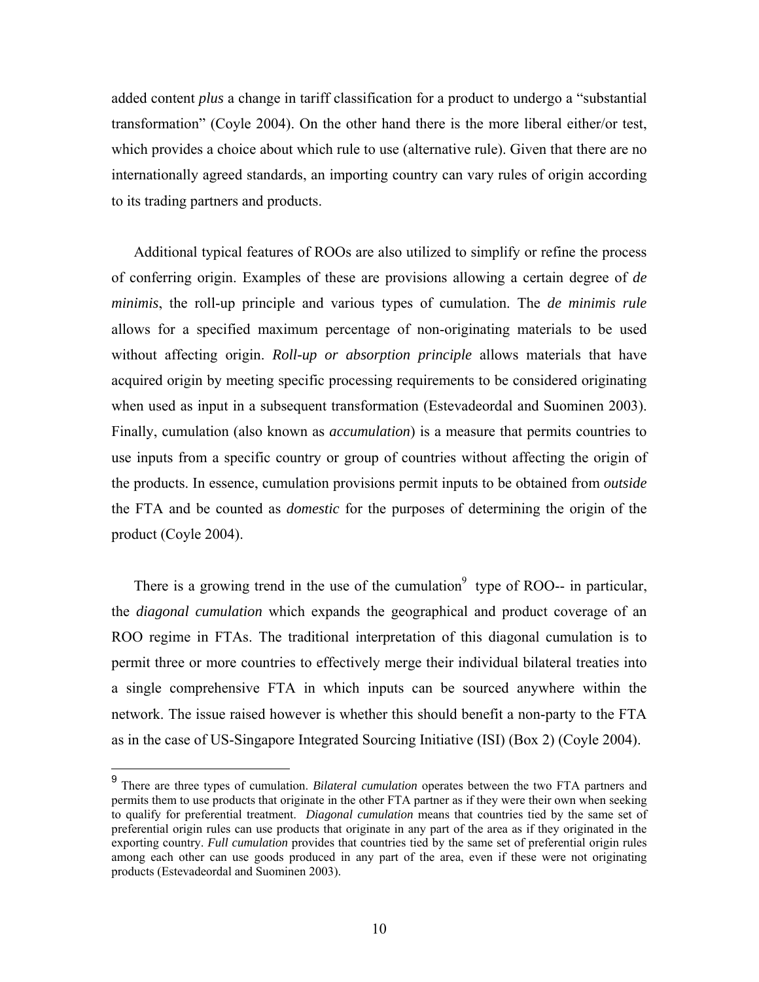added content *plus* a change in tariff classification for a product to undergo a "substantial transformation" (Coyle 2004). On the other hand there is the more liberal either/or test, which provides a choice about which rule to use (alternative rule). Given that there are no internationally agreed standards, an importing country can vary rules of origin according to its trading partners and products.

Additional typical features of ROOs are also utilized to simplify or refine the process of conferring origin. Examples of these are provisions allowing a certain degree of *de minimis*, the roll-up principle and various types of cumulation. The *de minimis rule*  allows for a specified maximum percentage of non-originating materials to be used without affecting origin. *Roll-up or absorption principle* allows materials that have acquired origin by meeting specific processing requirements to be considered originating when used as input in a subsequent transformation (Estevadeordal and Suominen 2003). Finally, cumulation (also known as *accumulation*) is a measure that permits countries to use inputs from a specific country or group of countries without affecting the origin of the products. In essence, cumulation provisions permit inputs to be obtained from *outside*  the FTA and be counted as *domestic* for the purposes of determining the origin of the product (Coyle 2004).

There is a growing trend in the use of the cumulation<sup>9</sup> type of ROO-- in particular, the *diagonal cumulation* which expands the geographical and product coverage of an ROO regime in FTAs. The traditional interpretation of this diagonal cumulation is to permit three or more countries to effectively merge their individual bilateral treaties into a single comprehensive FTA in which inputs can be sourced anywhere within the network. The issue raised however is whether this should benefit a non-party to the FTA as in the case of US-Singapore Integrated Sourcing Initiative (ISI) (Box 2) (Coyle 2004).

 $\overline{a}$ 

<sup>9</sup>There are three types of cumulation. *Bilateral cumulation* operates between the two FTA partners and permits them to use products that originate in the other FTA partner as if they were their own when seeking to qualify for preferential treatment. *Diagonal cumulation* means that countries tied by the same set of preferential origin rules can use products that originate in any part of the area as if they originated in the exporting country. *Full cumulation* provides that countries tied by the same set of preferential origin rules among each other can use goods produced in any part of the area, even if these were not originating products (Estevadeordal and Suominen 2003).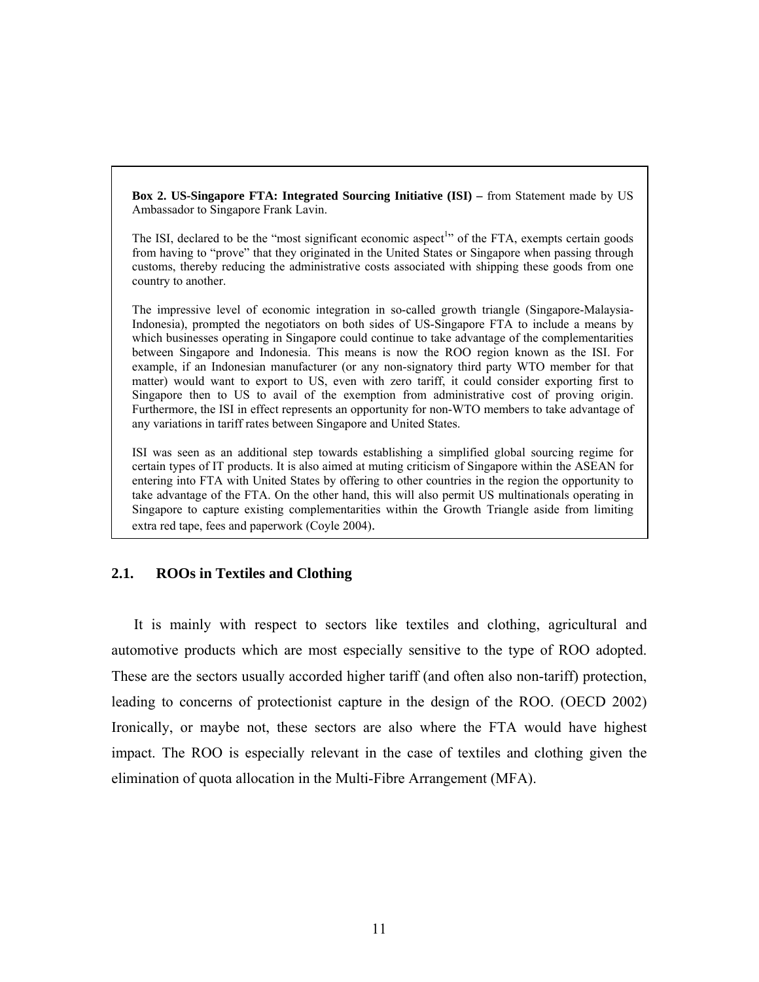**Box 2. US-Singapore FTA: Integrated Sourcing Initiative (ISI)** – from Statement made by US Ambassador to Singapore Frank Lavin.

The ISI, declared to be the "most significant economic aspect<sup>1</sup>" of the FTA, exempts certain goods from having to "prove" that they originated in the United States or Singapore when passing through customs, thereby reducing the administrative costs associated with shipping these goods from one country to another.

The impressive level of economic integration in so-called growth triangle (Singapore-Malaysia-Indonesia), prompted the negotiators on both sides of US-Singapore FTA to include a means by which businesses operating in Singapore could continue to take advantage of the complementarities between Singapore and Indonesia. This means is now the ROO region known as the ISI. For example, if an Indonesian manufacturer (or any non-signatory third party WTO member for that matter) would want to export to US, even with zero tariff, it could consider exporting first to Singapore then to US to avail of the exemption from administrative cost of proving origin. Furthermore, the ISI in effect represents an opportunity for non-WTO members to take advantage of any variations in tariff rates between Singapore and United States.

ISI was seen as an additional step towards establishing a simplified global sourcing regime for certain types of IT products. It is also aimed at muting criticism of Singapore within the ASEAN for entering into FTA with United States by offering to other countries in the region the opportunity to take advantage of the FTA. On the other hand, this will also permit US multinationals operating in Singapore to capture existing complementarities within the Growth Triangle aside from limiting extra red tape, fees and paperwork (Coyle 2004).

### **2.1. ROOs in Textiles and Clothing**

It is mainly with respect to sectors like textiles and clothing, agricultural and automotive products which are most especially sensitive to the type of ROO adopted. These are the sectors usually accorded higher tariff (and often also non-tariff) protection, leading to concerns of protectionist capture in the design of the ROO. (OECD 2002) Ironically, or maybe not, these sectors are also where the FTA would have highest impact. The ROO is especially relevant in the case of textiles and clothing given the elimination of quota allocation in the Multi-Fibre Arrangement (MFA).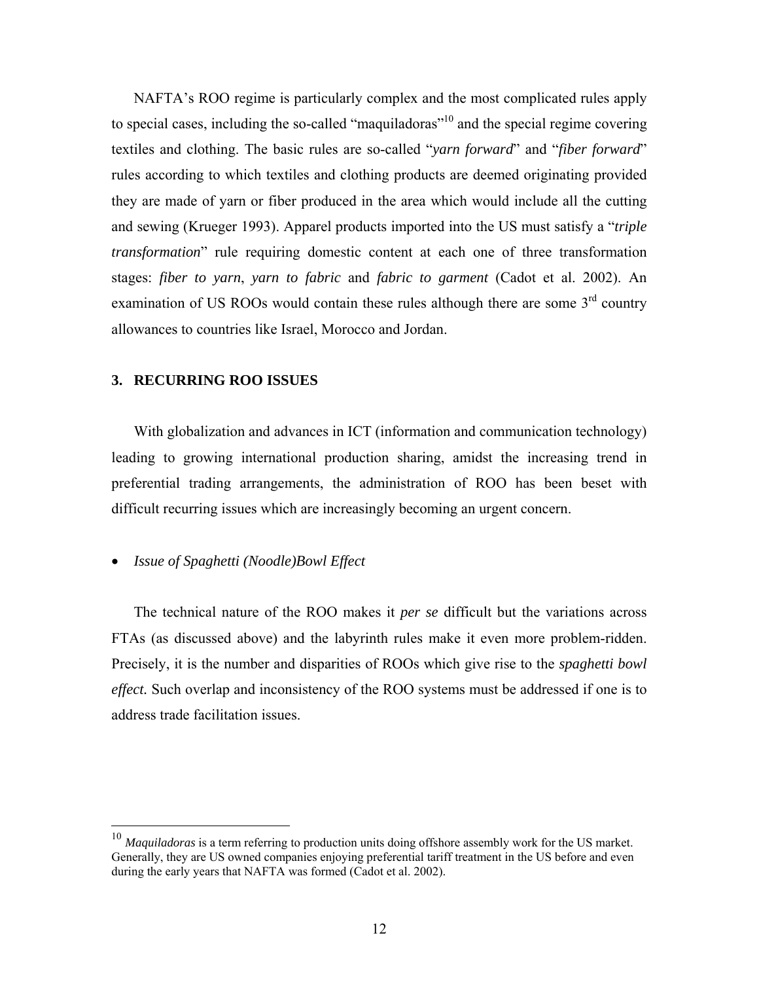NAFTA's ROO regime is particularly complex and the most complicated rules apply to special cases, including the so-called "maquiladoras"<sup>10</sup> and the special regime covering textiles and clothing. The basic rules are so-called "*yarn forward*" and "*fiber forward*" rules according to which textiles and clothing products are deemed originating provided they are made of yarn or fiber produced in the area which would include all the cutting and sewing (Krueger 1993). Apparel products imported into the US must satisfy a "*triple transformation*" rule requiring domestic content at each one of three transformation stages: *fiber to yarn*, *yarn to fabric* and *fabric to garment* (Cadot et al. 2002). An examination of US ROOs would contain these rules although there are some 3<sup>rd</sup> country allowances to countries like Israel, Morocco and Jordan.

#### **3. RECURRING ROO ISSUES**

With globalization and advances in ICT (information and communication technology) leading to growing international production sharing, amidst the increasing trend in preferential trading arrangements, the administration of ROO has been beset with difficult recurring issues which are increasingly becoming an urgent concern.

## • *Issue of Spaghetti (Noodle)Bowl Effect*

 $\overline{a}$ 

The technical nature of the ROO makes it *per se* difficult but the variations across FTAs (as discussed above) and the labyrinth rules make it even more problem-ridden. Precisely, it is the number and disparities of ROOs which give rise to the *spaghetti bowl effect.* Such overlap and inconsistency of the ROO systems must be addressed if one is to address trade facilitation issues.

<sup>10</sup> *Maquiladoras* is a term referring to production units doing offshore assembly work for the US market. Generally, they are US owned companies enjoying preferential tariff treatment in the US before and even during the early years that NAFTA was formed (Cadot et al. 2002).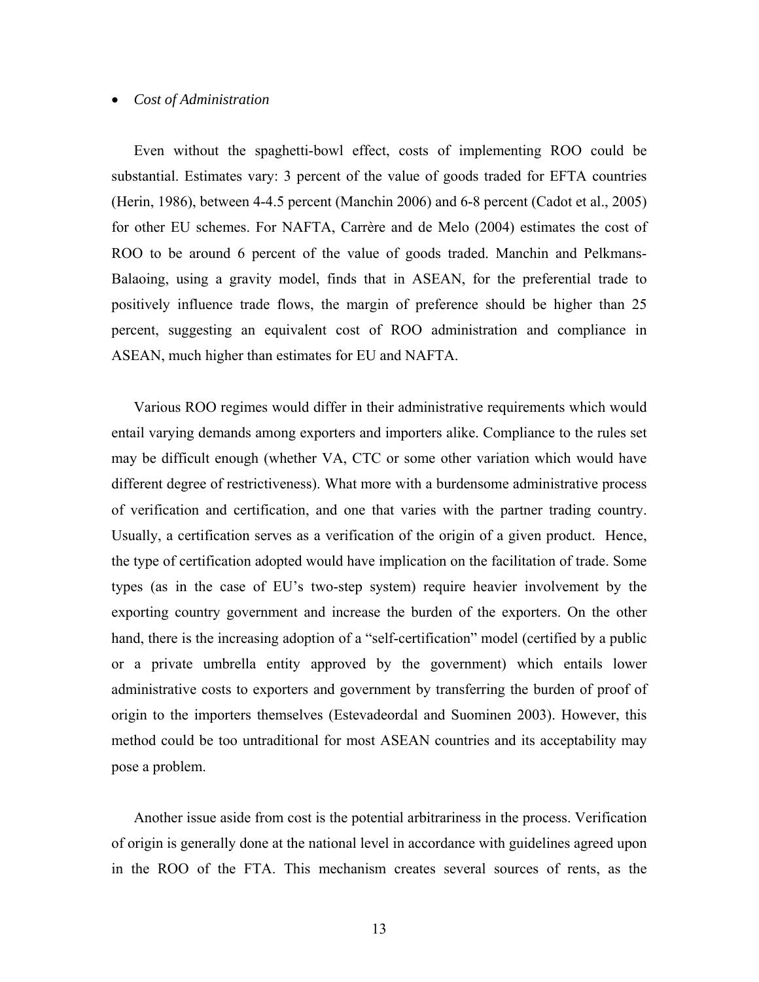#### • *Cost of Administration*

Even without the spaghetti-bowl effect, costs of implementing ROO could be substantial. Estimates vary: 3 percent of the value of goods traded for EFTA countries (Herin, 1986), between 4-4.5 percent (Manchin 2006) and 6-8 percent (Cadot et al., 2005) for other EU schemes. For NAFTA, Carrère and de Melo (2004) estimates the cost of ROO to be around 6 percent of the value of goods traded. Manchin and Pelkmans-Balaoing, using a gravity model, finds that in ASEAN, for the preferential trade to positively influence trade flows, the margin of preference should be higher than 25 percent, suggesting an equivalent cost of ROO administration and compliance in ASEAN, much higher than estimates for EU and NAFTA.

Various ROO regimes would differ in their administrative requirements which would entail varying demands among exporters and importers alike. Compliance to the rules set may be difficult enough (whether VA, CTC or some other variation which would have different degree of restrictiveness). What more with a burdensome administrative process of verification and certification, and one that varies with the partner trading country. Usually, a certification serves as a verification of the origin of a given product. Hence, the type of certification adopted would have implication on the facilitation of trade. Some types (as in the case of EU's two-step system) require heavier involvement by the exporting country government and increase the burden of the exporters. On the other hand, there is the increasing adoption of a "self-certification" model (certified by a public or a private umbrella entity approved by the government) which entails lower administrative costs to exporters and government by transferring the burden of proof of origin to the importers themselves (Estevadeordal and Suominen 2003). However, this method could be too untraditional for most ASEAN countries and its acceptability may pose a problem.

Another issue aside from cost is the potential arbitrariness in the process. Verification of origin is generally done at the national level in accordance with guidelines agreed upon in the ROO of the FTA. This mechanism creates several sources of rents, as the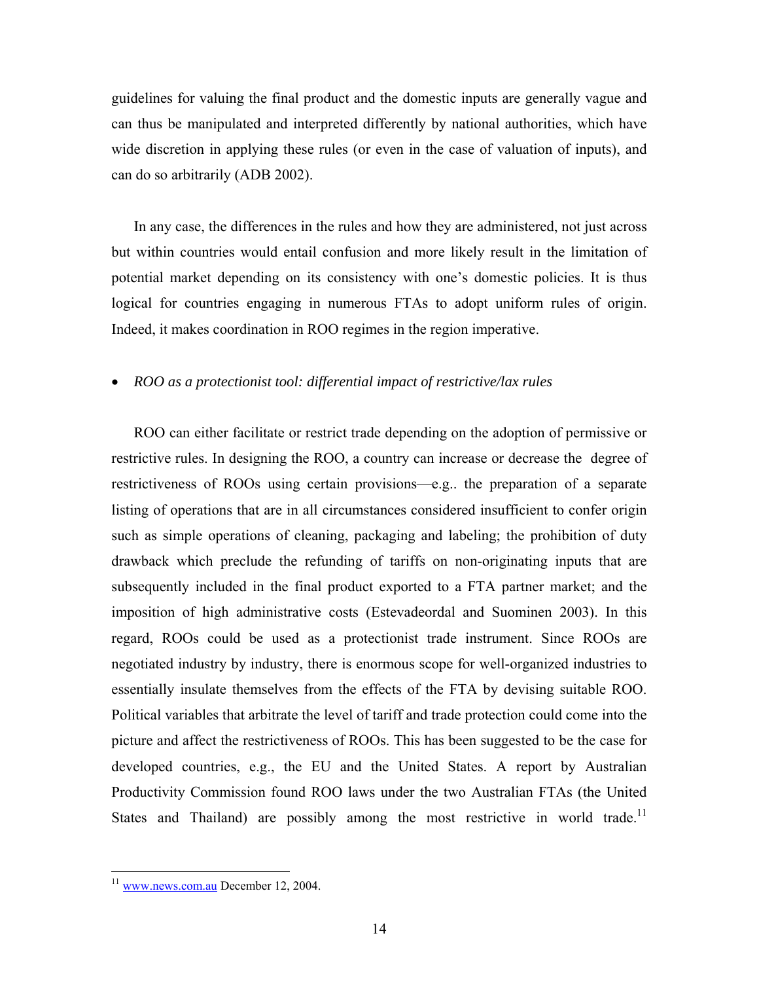guidelines for valuing the final product and the domestic inputs are generally vague and can thus be manipulated and interpreted differently by national authorities, which have wide discretion in applying these rules (or even in the case of valuation of inputs), and can do so arbitrarily (ADB 2002).

In any case, the differences in the rules and how they are administered, not just across but within countries would entail confusion and more likely result in the limitation of potential market depending on its consistency with one's domestic policies. It is thus logical for countries engaging in numerous FTAs to adopt uniform rules of origin. Indeed, it makes coordination in ROO regimes in the region imperative.

## • *ROO as a protectionist tool: differential impact of restrictive/lax rules*

ROO can either facilitate or restrict trade depending on the adoption of permissive or restrictive rules. In designing the ROO, a country can increase or decrease the degree of restrictiveness of ROOs using certain provisions—e.g.. the preparation of a separate listing of operations that are in all circumstances considered insufficient to confer origin such as simple operations of cleaning, packaging and labeling; the prohibition of duty drawback which preclude the refunding of tariffs on non-originating inputs that are subsequently included in the final product exported to a FTA partner market; and the imposition of high administrative costs (Estevadeordal and Suominen 2003). In this regard, ROOs could be used as a protectionist trade instrument. Since ROOs are negotiated industry by industry, there is enormous scope for well-organized industries to essentially insulate themselves from the effects of the FTA by devising suitable ROO. Political variables that arbitrate the level of tariff and trade protection could come into the picture and affect the restrictiveness of ROOs. This has been suggested to be the case for developed countries, e.g., the EU and the United States. A report by Australian Productivity Commission found ROO laws under the two Australian FTAs (the United States and Thailand) are possibly among the most restrictive in world trade.<sup>11</sup>

<u>.</u>

<sup>&</sup>lt;sup>11</sup> www.news.com.au December 12, 2004.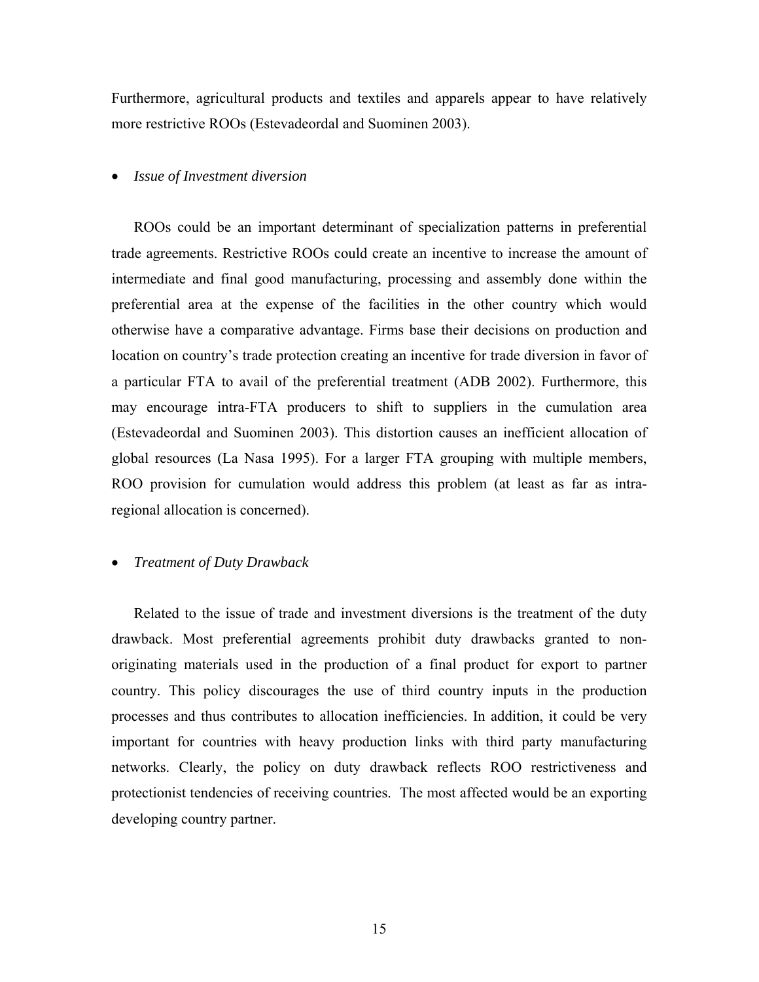Furthermore, agricultural products and textiles and apparels appear to have relatively more restrictive ROOs (Estevadeordal and Suominen 2003).

#### • *Issue of Investment diversion*

ROOs could be an important determinant of specialization patterns in preferential trade agreements. Restrictive ROOs could create an incentive to increase the amount of intermediate and final good manufacturing, processing and assembly done within the preferential area at the expense of the facilities in the other country which would otherwise have a comparative advantage. Firms base their decisions on production and location on country's trade protection creating an incentive for trade diversion in favor of a particular FTA to avail of the preferential treatment (ADB 2002). Furthermore, this may encourage intra-FTA producers to shift to suppliers in the cumulation area (Estevadeordal and Suominen 2003). This distortion causes an inefficient allocation of global resources (La Nasa 1995). For a larger FTA grouping with multiple members, ROO provision for cumulation would address this problem (at least as far as intraregional allocation is concerned).

#### • *Treatment of Duty Drawback*

Related to the issue of trade and investment diversions is the treatment of the duty drawback. Most preferential agreements prohibit duty drawbacks granted to nonoriginating materials used in the production of a final product for export to partner country. This policy discourages the use of third country inputs in the production processes and thus contributes to allocation inefficiencies. In addition, it could be very important for countries with heavy production links with third party manufacturing networks. Clearly, the policy on duty drawback reflects ROO restrictiveness and protectionist tendencies of receiving countries. The most affected would be an exporting developing country partner.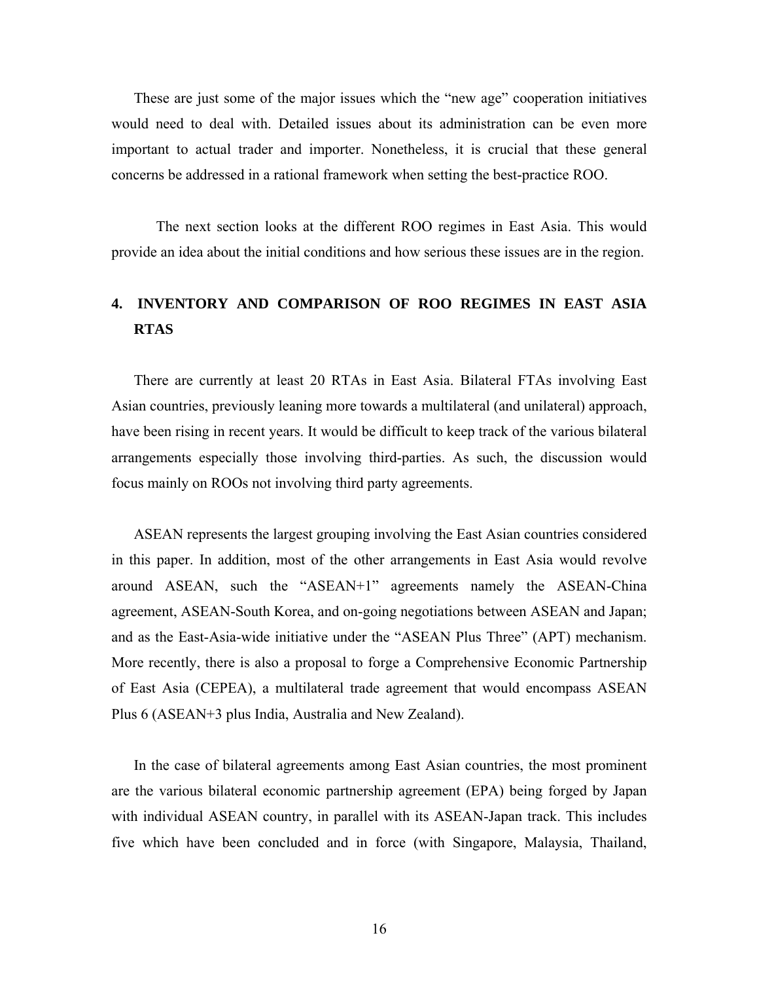These are just some of the major issues which the "new age" cooperation initiatives would need to deal with. Detailed issues about its administration can be even more important to actual trader and importer. Nonetheless, it is crucial that these general concerns be addressed in a rational framework when setting the best-practice ROO.

 The next section looks at the different ROO regimes in East Asia. This would provide an idea about the initial conditions and how serious these issues are in the region.

## **4. INVENTORY AND COMPARISON OF ROO REGIMES IN EAST ASIA RTAS**

There are currently at least 20 RTAs in East Asia. Bilateral FTAs involving East Asian countries, previously leaning more towards a multilateral (and unilateral) approach, have been rising in recent years. It would be difficult to keep track of the various bilateral arrangements especially those involving third-parties. As such, the discussion would focus mainly on ROOs not involving third party agreements.

ASEAN represents the largest grouping involving the East Asian countries considered in this paper. In addition, most of the other arrangements in East Asia would revolve around ASEAN, such the "ASEAN+1" agreements namely the ASEAN-China agreement, ASEAN-South Korea, and on-going negotiations between ASEAN and Japan; and as the East-Asia-wide initiative under the "ASEAN Plus Three" (APT) mechanism. More recently, there is also a proposal to forge a Comprehensive Economic Partnership of East Asia (CEPEA), a multilateral trade agreement that would encompass ASEAN Plus 6 (ASEAN+3 plus India, Australia and New Zealand).

In the case of bilateral agreements among East Asian countries, the most prominent are the various bilateral economic partnership agreement (EPA) being forged by Japan with individual ASEAN country, in parallel with its ASEAN-Japan track. This includes five which have been concluded and in force (with Singapore, Malaysia, Thailand,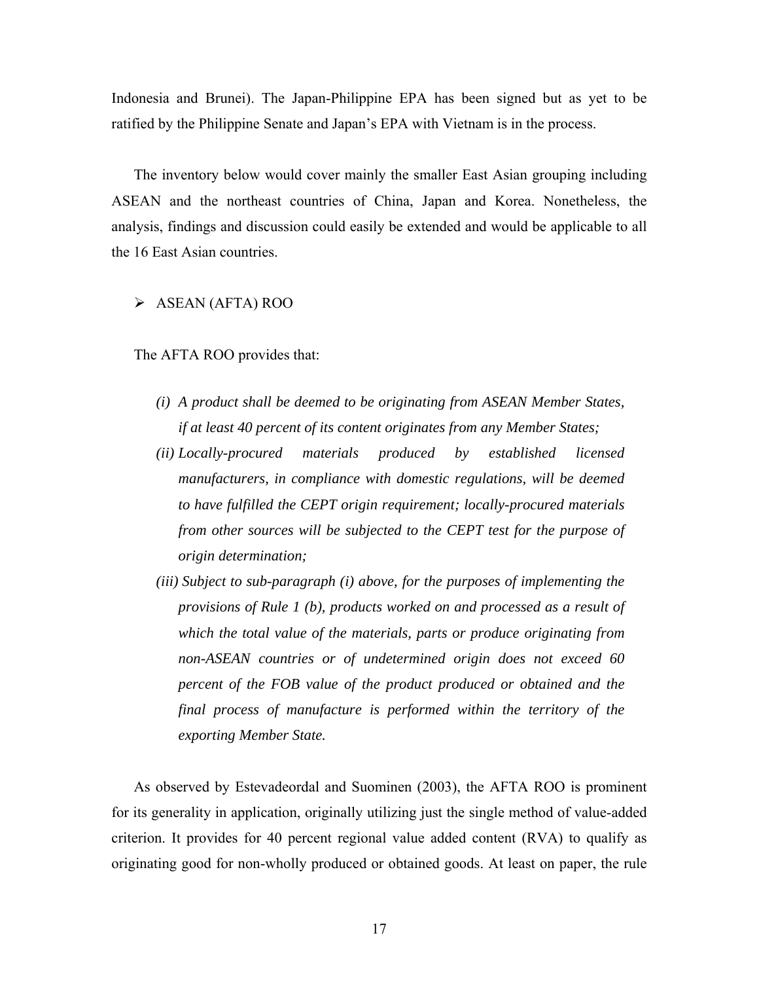Indonesia and Brunei). The Japan-Philippine EPA has been signed but as yet to be ratified by the Philippine Senate and Japan's EPA with Vietnam is in the process.

The inventory below would cover mainly the smaller East Asian grouping including ASEAN and the northeast countries of China, Japan and Korea. Nonetheless, the analysis, findings and discussion could easily be extended and would be applicable to all the 16 East Asian countries.

#### $\triangleright$  ASEAN (AFTA) ROO

The AFTA ROO provides that:

- *(i) A product shall be deemed to be originating from ASEAN Member States, if at least 40 percent of its content originates from any Member States;*
- *(ii) Locally-procured materials produced by established licensed manufacturers, in compliance with domestic regulations, will be deemed to have fulfilled the CEPT origin requirement; locally-procured materials from other sources will be subjected to the CEPT test for the purpose of origin determination;*
- *(iii) Subject to sub-paragraph (i) above, for the purposes of implementing the provisions of Rule 1 (b), products worked on and processed as a result of which the total value of the materials, parts or produce originating from non-ASEAN countries or of undetermined origin does not exceed 60 percent of the FOB value of the product produced or obtained and the final process of manufacture is performed within the territory of the exporting Member State.*

As observed by Estevadeordal and Suominen (2003), the AFTA ROO is prominent for its generality in application, originally utilizing just the single method of value-added criterion. It provides for 40 percent regional value added content (RVA) to qualify as originating good for non-wholly produced or obtained goods. At least on paper, the rule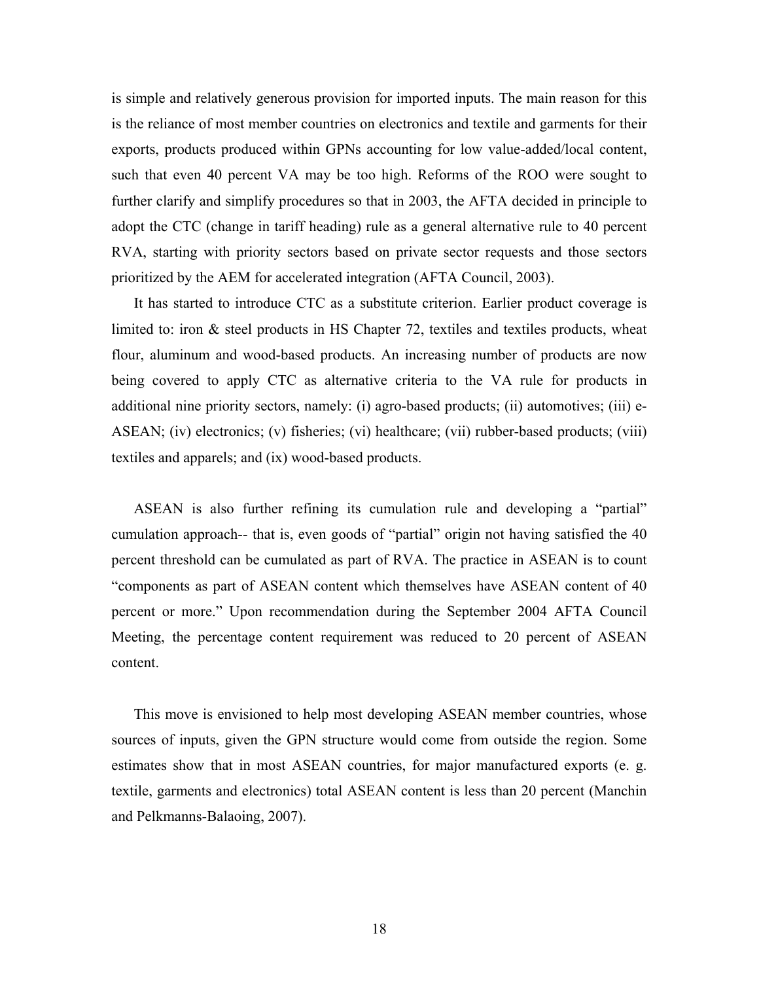is simple and relatively generous provision for imported inputs. The main reason for this is the reliance of most member countries on electronics and textile and garments for their exports, products produced within GPNs accounting for low value-added/local content, such that even 40 percent VA may be too high. Reforms of the ROO were sought to further clarify and simplify procedures so that in 2003, the AFTA decided in principle to adopt the CTC (change in tariff heading) rule as a general alternative rule to 40 percent RVA, starting with priority sectors based on private sector requests and those sectors prioritized by the AEM for accelerated integration (AFTA Council, 2003).

It has started to introduce CTC as a substitute criterion. Earlier product coverage is limited to: iron  $\&$  steel products in HS Chapter 72, textiles and textiles products, wheat flour, aluminum and wood-based products. An increasing number of products are now being covered to apply CTC as alternative criteria to the VA rule for products in additional nine priority sectors, namely: (i) agro-based products; (ii) automotives; (iii) e-ASEAN; (iv) electronics; (v) fisheries; (vi) healthcare; (vii) rubber-based products; (viii) textiles and apparels; and (ix) wood-based products.

ASEAN is also further refining its cumulation rule and developing a "partial" cumulation approach-- that is, even goods of "partial" origin not having satisfied the 40 percent threshold can be cumulated as part of RVA. The practice in ASEAN is to count "components as part of ASEAN content which themselves have ASEAN content of 40 percent or more." Upon recommendation during the September 2004 AFTA Council Meeting, the percentage content requirement was reduced to 20 percent of ASEAN content.

This move is envisioned to help most developing ASEAN member countries, whose sources of inputs, given the GPN structure would come from outside the region. Some estimates show that in most ASEAN countries, for major manufactured exports (e. g. textile, garments and electronics) total ASEAN content is less than 20 percent (Manchin and Pelkmanns-Balaoing, 2007).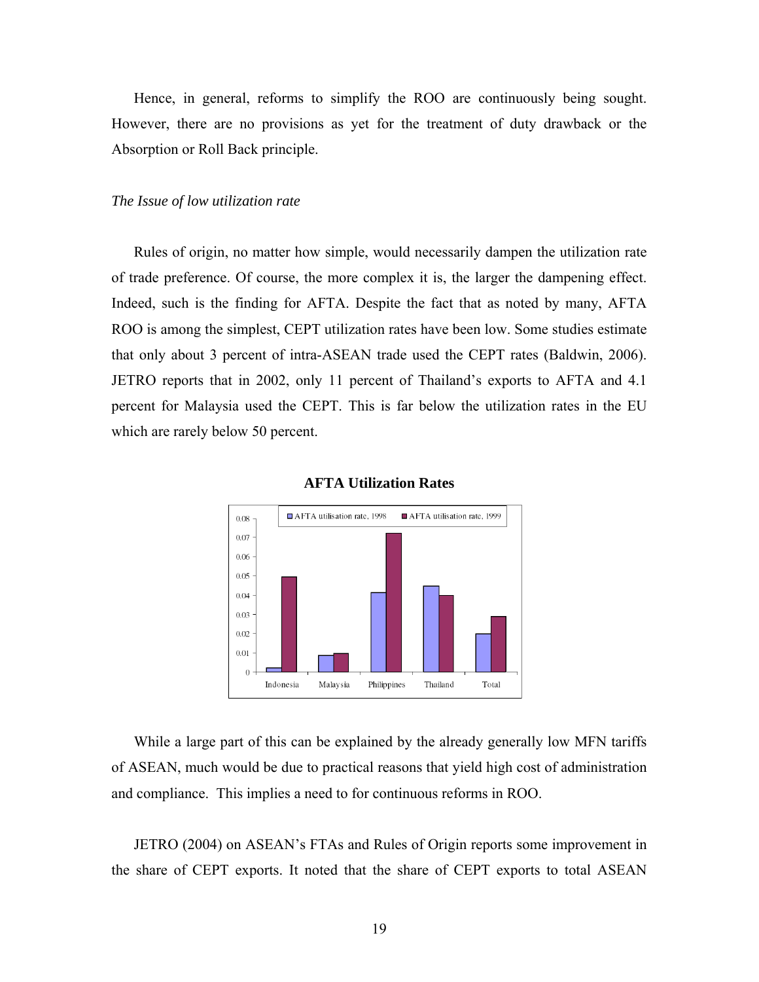Hence, in general, reforms to simplify the ROO are continuously being sought. However, there are no provisions as yet for the treatment of duty drawback or the Absorption or Roll Back principle.

#### *The Issue of low utilization rate*

Rules of origin, no matter how simple, would necessarily dampen the utilization rate of trade preference. Of course, the more complex it is, the larger the dampening effect. Indeed, such is the finding for AFTA. Despite the fact that as noted by many, AFTA ROO is among the simplest, CEPT utilization rates have been low. Some studies estimate that only about 3 percent of intra-ASEAN trade used the CEPT rates (Baldwin, 2006). JETRO reports that in 2002, only 11 percent of Thailand's exports to AFTA and 4.1 percent for Malaysia used the CEPT. This is far below the utilization rates in the EU which are rarely below 50 percent.





While a large part of this can be explained by the already generally low MFN tariffs of ASEAN, much would be due to practical reasons that yield high cost of administration and compliance. This implies a need to for continuous reforms in ROO.

JETRO (2004) on ASEAN's FTAs and Rules of Origin reports some improvement in the share of CEPT exports. It noted that the share of CEPT exports to total ASEAN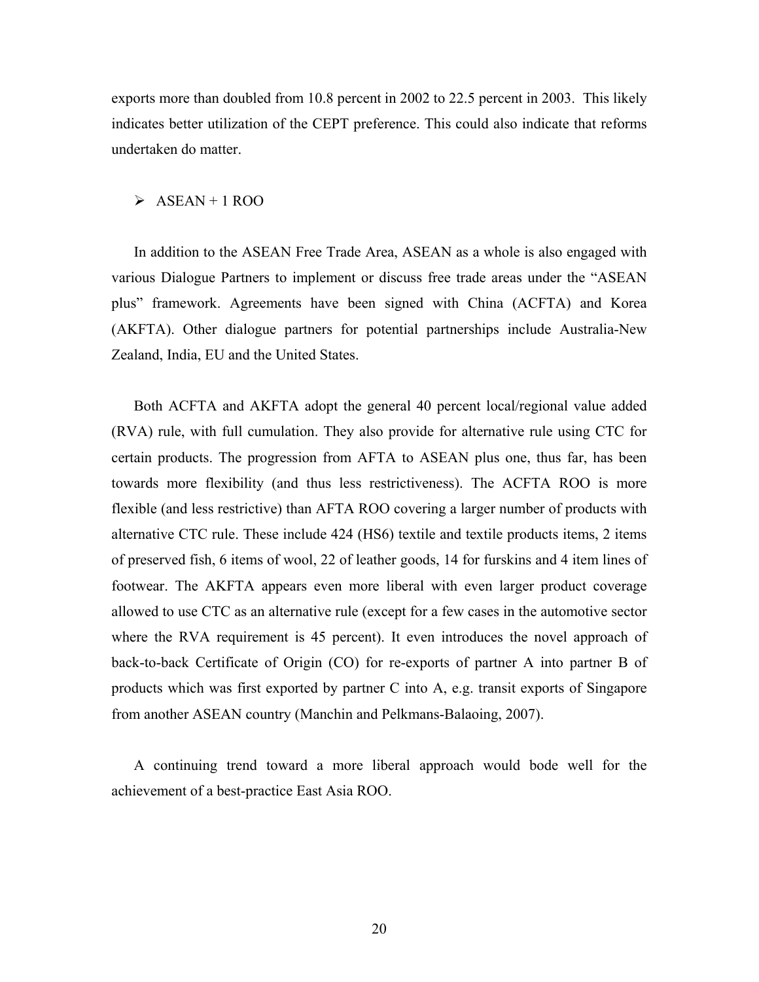exports more than doubled from 10.8 percent in 2002 to 22.5 percent in 2003. This likely indicates better utilization of the CEPT preference. This could also indicate that reforms undertaken do matter.

#### $\triangleright$  ASEAN + 1 ROO

In addition to the ASEAN Free Trade Area, ASEAN as a whole is also engaged with various Dialogue Partners to implement or discuss free trade areas under the "ASEAN plus" framework. Agreements have been signed with China (ACFTA) and Korea (AKFTA). Other dialogue partners for potential partnerships include Australia-New Zealand, India, EU and the United States.

Both ACFTA and AKFTA adopt the general 40 percent local/regional value added (RVA) rule, with full cumulation. They also provide for alternative rule using CTC for certain products. The progression from AFTA to ASEAN plus one, thus far, has been towards more flexibility (and thus less restrictiveness). The ACFTA ROO is more flexible (and less restrictive) than AFTA ROO covering a larger number of products with alternative CTC rule. These include 424 (HS6) textile and textile products items, 2 items of preserved fish, 6 items of wool, 22 of leather goods, 14 for furskins and 4 item lines of footwear. The AKFTA appears even more liberal with even larger product coverage allowed to use CTC as an alternative rule (except for a few cases in the automotive sector where the RVA requirement is 45 percent). It even introduces the novel approach of back-to-back Certificate of Origin (CO) for re-exports of partner A into partner B of products which was first exported by partner C into A, e.g. transit exports of Singapore from another ASEAN country (Manchin and Pelkmans-Balaoing, 2007).

A continuing trend toward a more liberal approach would bode well for the achievement of a best-practice East Asia ROO.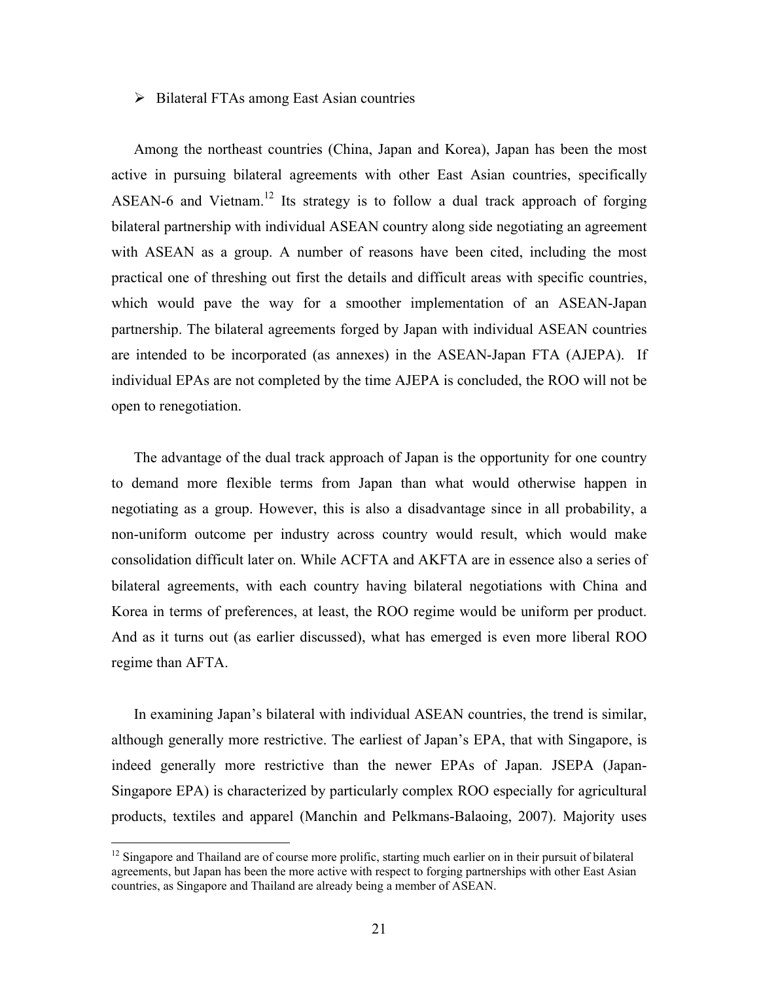#### $\triangleright$  Bilateral FTAs among East Asian countries

Among the northeast countries (China, Japan and Korea), Japan has been the most active in pursuing bilateral agreements with other East Asian countries, specifically ASEAN-6 and Vietnam.<sup>12</sup> Its strategy is to follow a dual track approach of forging bilateral partnership with individual ASEAN country along side negotiating an agreement with ASEAN as a group. A number of reasons have been cited, including the most practical one of threshing out first the details and difficult areas with specific countries, which would pave the way for a smoother implementation of an ASEAN-Japan partnership. The bilateral agreements forged by Japan with individual ASEAN countries are intended to be incorporated (as annexes) in the ASEAN-Japan FTA (AJEPA). If individual EPAs are not completed by the time AJEPA is concluded, the ROO will not be open to renegotiation.

The advantage of the dual track approach of Japan is the opportunity for one country to demand more flexible terms from Japan than what would otherwise happen in negotiating as a group. However, this is also a disadvantage since in all probability, a non-uniform outcome per industry across country would result, which would make consolidation difficult later on. While ACFTA and AKFTA are in essence also a series of bilateral agreements, with each country having bilateral negotiations with China and Korea in terms of preferences, at least, the ROO regime would be uniform per product. And as it turns out (as earlier discussed), what has emerged is even more liberal ROO regime than AFTA.

In examining Japan's bilateral with individual ASEAN countries, the trend is similar, although generally more restrictive. The earliest of Japan's EPA, that with Singapore, is indeed generally more restrictive than the newer EPAs of Japan. JSEPA (Japan-Singapore EPA) is characterized by particularly complex ROO especially for agricultural products, textiles and apparel (Manchin and Pelkmans-Balaoing, 2007). Majority uses

 $\overline{a}$ 

<sup>&</sup>lt;sup>12</sup> Singapore and Thailand are of course more prolific, starting much earlier on in their pursuit of bilateral agreements, but Japan has been the more active with respect to forging partnerships with other East Asian countries, as Singapore and Thailand are already being a member of ASEAN.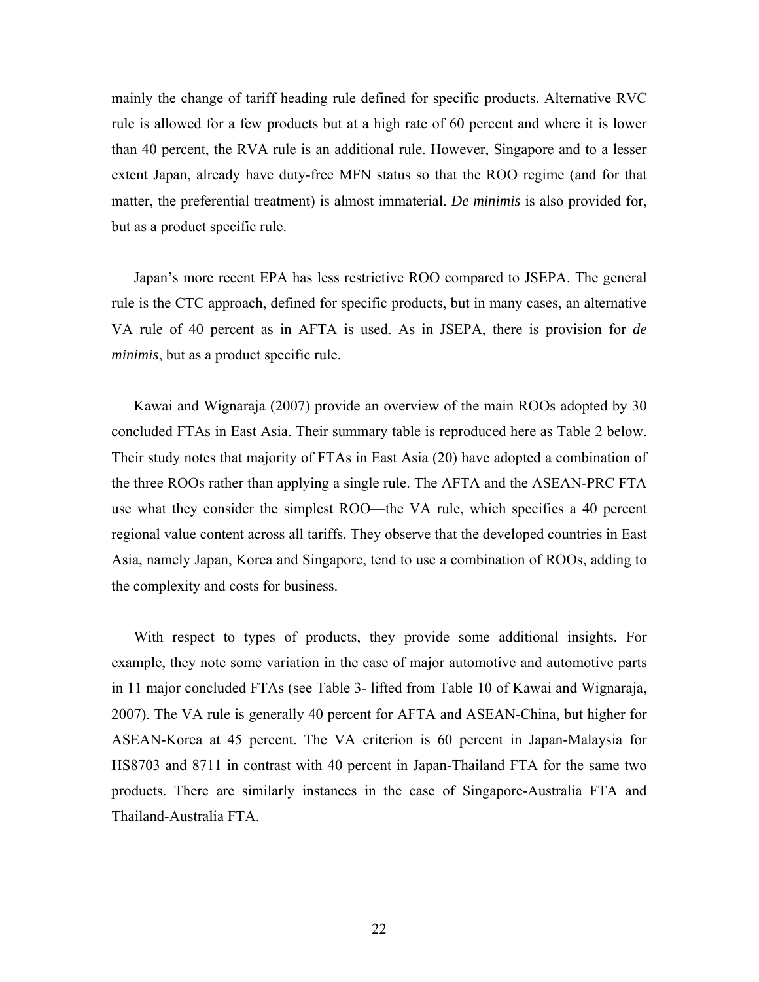mainly the change of tariff heading rule defined for specific products. Alternative RVC rule is allowed for a few products but at a high rate of 60 percent and where it is lower than 40 percent, the RVA rule is an additional rule. However, Singapore and to a lesser extent Japan, already have duty-free MFN status so that the ROO regime (and for that matter, the preferential treatment) is almost immaterial. *De minimis* is also provided for, but as a product specific rule.

Japan's more recent EPA has less restrictive ROO compared to JSEPA. The general rule is the CTC approach, defined for specific products, but in many cases, an alternative VA rule of 40 percent as in AFTA is used. As in JSEPA, there is provision for *de minimis*, but as a product specific rule.

Kawai and Wignaraja (2007) provide an overview of the main ROOs adopted by 30 concluded FTAs in East Asia. Their summary table is reproduced here as Table 2 below. Their study notes that majority of FTAs in East Asia (20) have adopted a combination of the three ROOs rather than applying a single rule. The AFTA and the ASEAN-PRC FTA use what they consider the simplest ROO—the VA rule, which specifies a 40 percent regional value content across all tariffs. They observe that the developed countries in East Asia, namely Japan, Korea and Singapore, tend to use a combination of ROOs, adding to the complexity and costs for business.

With respect to types of products, they provide some additional insights. For example, they note some variation in the case of major automotive and automotive parts in 11 major concluded FTAs (see Table 3- lifted from Table 10 of Kawai and Wignaraja, 2007). The VA rule is generally 40 percent for AFTA and ASEAN-China, but higher for ASEAN-Korea at 45 percent. The VA criterion is 60 percent in Japan-Malaysia for HS8703 and 8711 in contrast with 40 percent in Japan-Thailand FTA for the same two products. There are similarly instances in the case of Singapore-Australia FTA and Thailand-Australia FTA.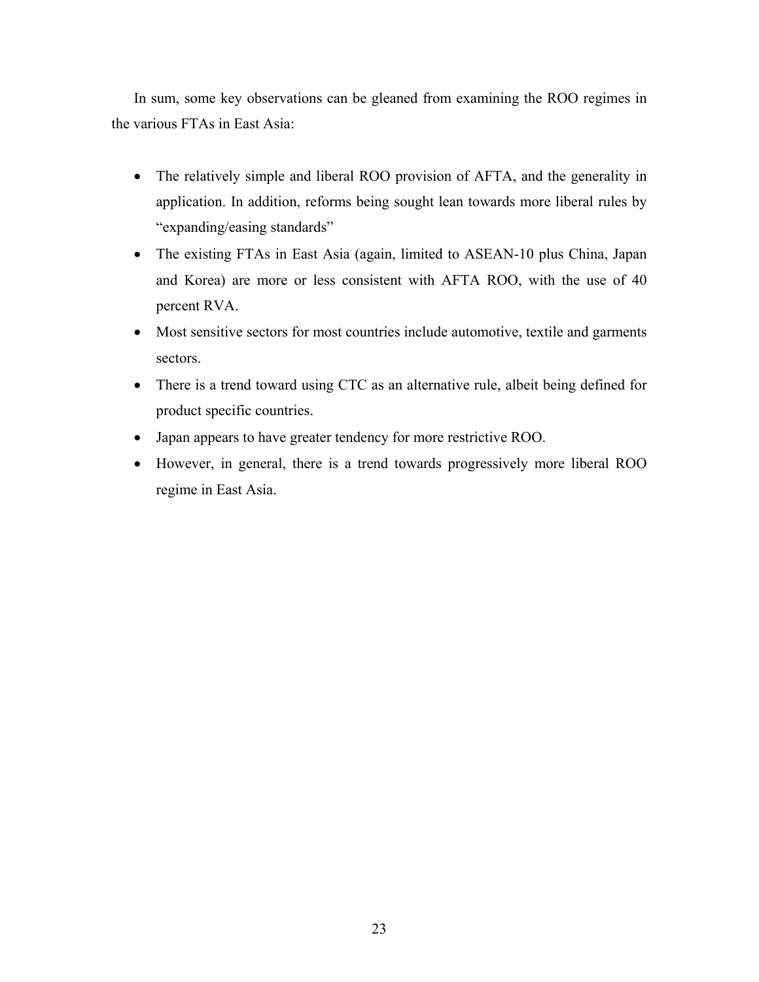In sum, some key observations can be gleaned from examining the ROO regimes in the various FTAs in East Asia:

- The relatively simple and liberal ROO provision of AFTA, and the generality in application. In addition, reforms being sought lean towards more liberal rules by "expanding/easing standards"
- The existing FTAs in East Asia (again, limited to ASEAN-10 plus China, Japan and Korea) are more or less consistent with AFTA ROO, with the use of 40 percent RVA.
- Most sensitive sectors for most countries include automotive, textile and garments sectors.
- There is a trend toward using CTC as an alternative rule, albeit being defined for product specific countries.
- Japan appears to have greater tendency for more restrictive ROO.
- However, in general, there is a trend towards progressively more liberal ROO regime in East Asia.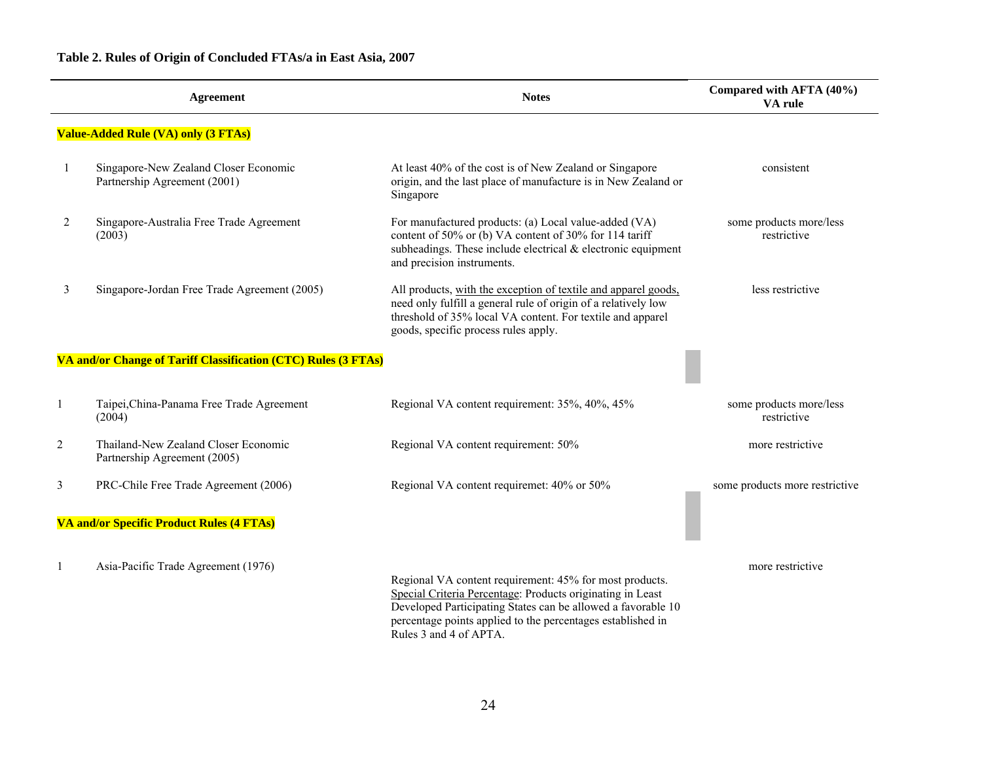**Table 2. Rules of Origin of Concluded FTAs/a in East Asia, 2007** 

|                | <b>Agreement</b>                                                      | <b>Notes</b>                                                                                                                                                                                                                                                                   | Compared with AFTA (40%)<br>VA rule    |  |
|----------------|-----------------------------------------------------------------------|--------------------------------------------------------------------------------------------------------------------------------------------------------------------------------------------------------------------------------------------------------------------------------|----------------------------------------|--|
|                | <b>Value-Added Rule (VA) only (3 FTAs)</b>                            |                                                                                                                                                                                                                                                                                |                                        |  |
| -1             | Singapore-New Zealand Closer Economic<br>Partnership Agreement (2001) | At least 40% of the cost is of New Zealand or Singapore<br>origin, and the last place of manufacture is in New Zealand or<br>Singapore                                                                                                                                         | consistent                             |  |
| $\overline{2}$ | Singapore-Australia Free Trade Agreement<br>(2003)                    | For manufactured products: (a) Local value-added (VA)<br>content of 50% or (b) VA content of 30% for 114 tariff<br>subheadings. These include electrical $&$ electronic equipment<br>and precision instruments.                                                                | some products more/less<br>restrictive |  |
| 3              | Singapore-Jordan Free Trade Agreement (2005)                          | All products, with the exception of textile and apparel goods,<br>need only fulfill a general rule of origin of a relatively low<br>threshold of 35% local VA content. For textile and apparel<br>goods, specific process rules apply.                                         | less restrictive                       |  |
|                | VA and/or Change of Tariff Classification (CTC) Rules (3 FTAs)        |                                                                                                                                                                                                                                                                                |                                        |  |
|                | Taipei, China-Panama Free Trade Agreement<br>(2004)                   | Regional VA content requirement: 35%, 40%, 45%                                                                                                                                                                                                                                 | some products more/less<br>restrictive |  |
| 2              | Thailand-New Zealand Closer Economic<br>Partnership Agreement (2005)  | Regional VA content requirement: 50%                                                                                                                                                                                                                                           | more restrictive                       |  |
| 3              | PRC-Chile Free Trade Agreement (2006)                                 | Regional VA content requiremet: 40% or 50%                                                                                                                                                                                                                                     | some products more restrictive         |  |
|                | VA and/or Specific Product Rules (4 FTAs)                             |                                                                                                                                                                                                                                                                                |                                        |  |
|                | Asia-Pacific Trade Agreement (1976)                                   | Regional VA content requirement: 45% for most products.<br>Special Criteria Percentage: Products originating in Least<br>Developed Participating States can be allowed a favorable 10<br>percentage points applied to the percentages established in<br>Rules 3 and 4 of APTA. | more restrictive                       |  |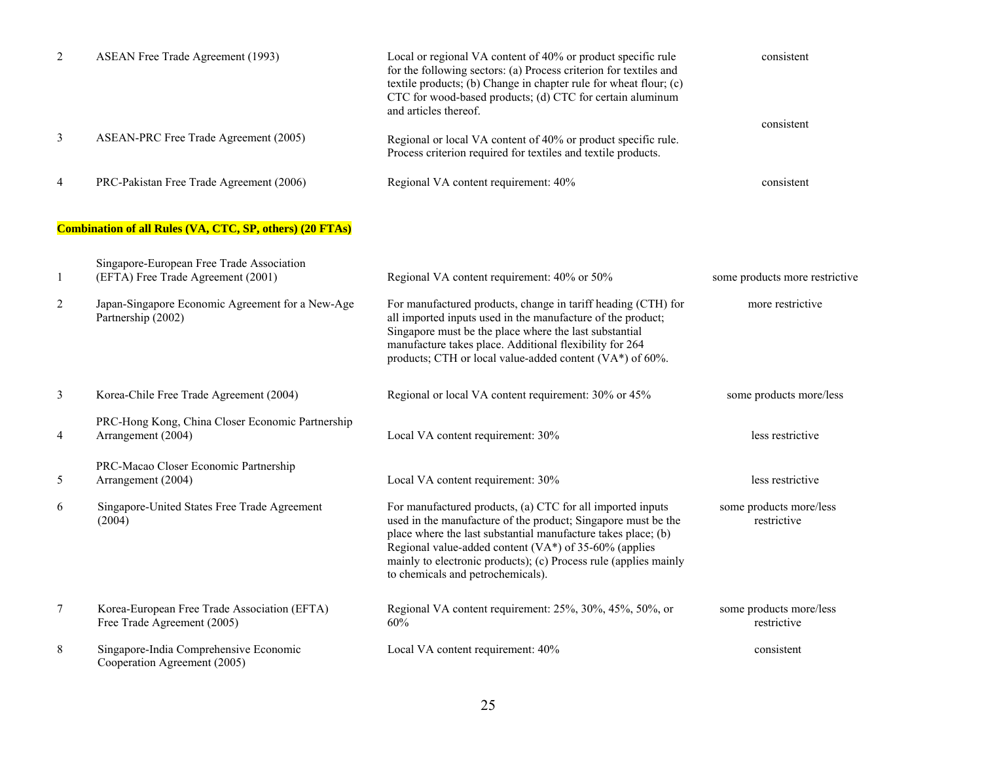| $\overline{2}$ | <b>ASEAN Free Trade Agreement (1993)</b>                                        | Local or regional VA content of 40% or product specific rule<br>for the following sectors: (a) Process criterion for textiles and<br>textile products; (b) Change in chapter rule for wheat flour; (c)<br>CTC for wood-based products; (d) CTC for certain aluminum<br>and articles thereof.                                                                   |                                        |
|----------------|---------------------------------------------------------------------------------|----------------------------------------------------------------------------------------------------------------------------------------------------------------------------------------------------------------------------------------------------------------------------------------------------------------------------------------------------------------|----------------------------------------|
| 3              | ASEAN-PRC Free Trade Agreement (2005)                                           | Regional or local VA content of 40% or product specific rule.<br>Process criterion required for textiles and textile products.                                                                                                                                                                                                                                 | consistent                             |
| 4              | PRC-Pakistan Free Trade Agreement (2006)                                        | Regional VA content requirement: 40%                                                                                                                                                                                                                                                                                                                           | consistent                             |
|                | <b>Combination of all Rules (VA, CTC, SP, others) (20 FTAs)</b>                 |                                                                                                                                                                                                                                                                                                                                                                |                                        |
| 1              | Singapore-European Free Trade Association<br>(EFTA) Free Trade Agreement (2001) | Regional VA content requirement: 40% or 50%                                                                                                                                                                                                                                                                                                                    | some products more restrictive         |
| $\overline{2}$ | Japan-Singapore Economic Agreement for a New-Age<br>Partnership (2002)          | For manufactured products, change in tariff heading (CTH) for<br>all imported inputs used in the manufacture of the product;<br>Singapore must be the place where the last substantial<br>manufacture takes place. Additional flexibility for 264<br>products; CTH or local value-added content (VA*) of 60%.                                                  | more restrictive                       |
| 3              | Korea-Chile Free Trade Agreement (2004)                                         | Regional or local VA content requirement: 30% or 45%                                                                                                                                                                                                                                                                                                           | some products more/less                |
| 4              | PRC-Hong Kong, China Closer Economic Partnership<br>Arrangement (2004)          | Local VA content requirement: 30%                                                                                                                                                                                                                                                                                                                              | less restrictive                       |
| 5              | PRC-Macao Closer Economic Partnership<br>Arrangement (2004)                     | Local VA content requirement: 30%                                                                                                                                                                                                                                                                                                                              | less restrictive                       |
| 6              | Singapore-United States Free Trade Agreement<br>(2004)                          | For manufactured products, (a) CTC for all imported inputs<br>used in the manufacture of the product; Singapore must be the<br>place where the last substantial manufacture takes place; (b)<br>Regional value-added content (VA*) of 35-60% (applies<br>mainly to electronic products); (c) Process rule (applies mainly<br>to chemicals and petrochemicals). | some products more/less<br>restrictive |
| 7              | Korea-European Free Trade Association (EFTA)<br>Free Trade Agreement (2005)     | Regional VA content requirement: 25%, 30%, 45%, 50%, or<br>60%                                                                                                                                                                                                                                                                                                 | some products more/less<br>restrictive |
| 8              | Singapore-India Comprehensive Economic<br>Cooperation Agreement (2005)          | Local VA content requirement: 40%                                                                                                                                                                                                                                                                                                                              | consistent                             |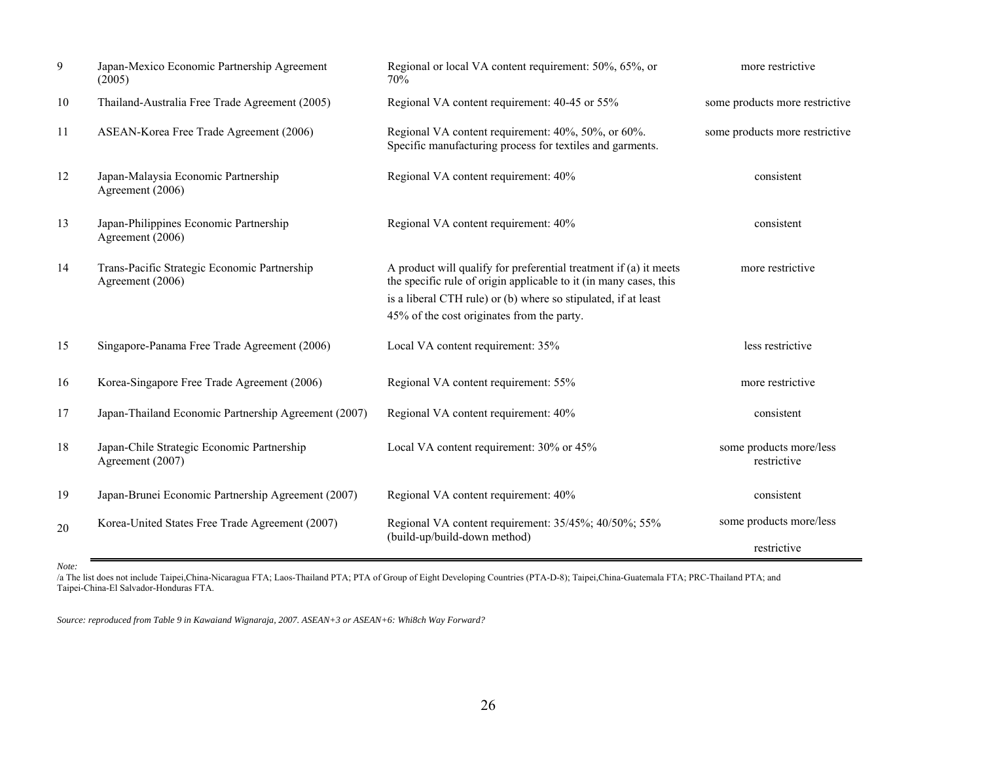| 9  | Japan-Mexico Economic Partnership Agreement<br>(2005)                                                                                   | Regional or local VA content requirement: 50%, 65%, or<br>70%                                                                                                                                                                                          | more restrictive                       |
|----|-----------------------------------------------------------------------------------------------------------------------------------------|--------------------------------------------------------------------------------------------------------------------------------------------------------------------------------------------------------------------------------------------------------|----------------------------------------|
| 10 | Thailand-Australia Free Trade Agreement (2005)                                                                                          | Regional VA content requirement: 40-45 or 55%                                                                                                                                                                                                          | some products more restrictive         |
| 11 | ASEAN-Korea Free Trade Agreement (2006)                                                                                                 | Regional VA content requirement: 40%, 50%, or 60%.<br>Specific manufacturing process for textiles and garments.                                                                                                                                        | some products more restrictive         |
| 12 | Japan-Malaysia Economic Partnership<br>Agreement (2006)                                                                                 | Regional VA content requirement: 40%                                                                                                                                                                                                                   | consistent                             |
| 13 | Japan-Philippines Economic Partnership<br>Agreement (2006)                                                                              | Regional VA content requirement: 40%                                                                                                                                                                                                                   | consistent                             |
| 14 | Trans-Pacific Strategic Economic Partnership<br>Agreement (2006)                                                                        | A product will qualify for preferential treatment if (a) it meets<br>the specific rule of origin applicable to it (in many cases, this<br>is a liberal CTH rule) or (b) where so stipulated, if at least<br>45% of the cost originates from the party. | more restrictive                       |
| 15 | Singapore-Panama Free Trade Agreement (2006)                                                                                            | Local VA content requirement: 35%                                                                                                                                                                                                                      | less restrictive                       |
| 16 | Korea-Singapore Free Trade Agreement (2006)                                                                                             | Regional VA content requirement: 55%                                                                                                                                                                                                                   | more restrictive                       |
| 17 | Japan-Thailand Economic Partnership Agreement (2007)                                                                                    | Regional VA content requirement: 40%                                                                                                                                                                                                                   | consistent                             |
| 18 | Japan-Chile Strategic Economic Partnership<br>Agreement (2007)                                                                          | Local VA content requirement: 30% or 45%                                                                                                                                                                                                               | some products more/less<br>restrictive |
| 19 | Japan-Brunei Economic Partnership Agreement (2007)                                                                                      | Regional VA content requirement: 40%                                                                                                                                                                                                                   | consistent                             |
| 20 | Regional VA content requirement: 35/45%; 40/50%; 55%<br>Korea-United States Free Trade Agreement (2007)<br>(build-up/build-down method) |                                                                                                                                                                                                                                                        | some products more/less                |
|    |                                                                                                                                         |                                                                                                                                                                                                                                                        | restrictive                            |

*Note:*

/a The list does not include Taipei,China-Nicaragua FTA; Laos-Thailand PTA; PTA of Group of Eight Developing Countries (PTA-D-8); Taipei,China-Guatemala FTA; PRC-Thailand PTA; and Taipei-China-El Salvador-Honduras FTA.

*Source: reproduced from Table 9 in Kawaiand Wignaraja, 2007. ASEAN+3 or ASEAN+6: Whi8ch Way Forward?*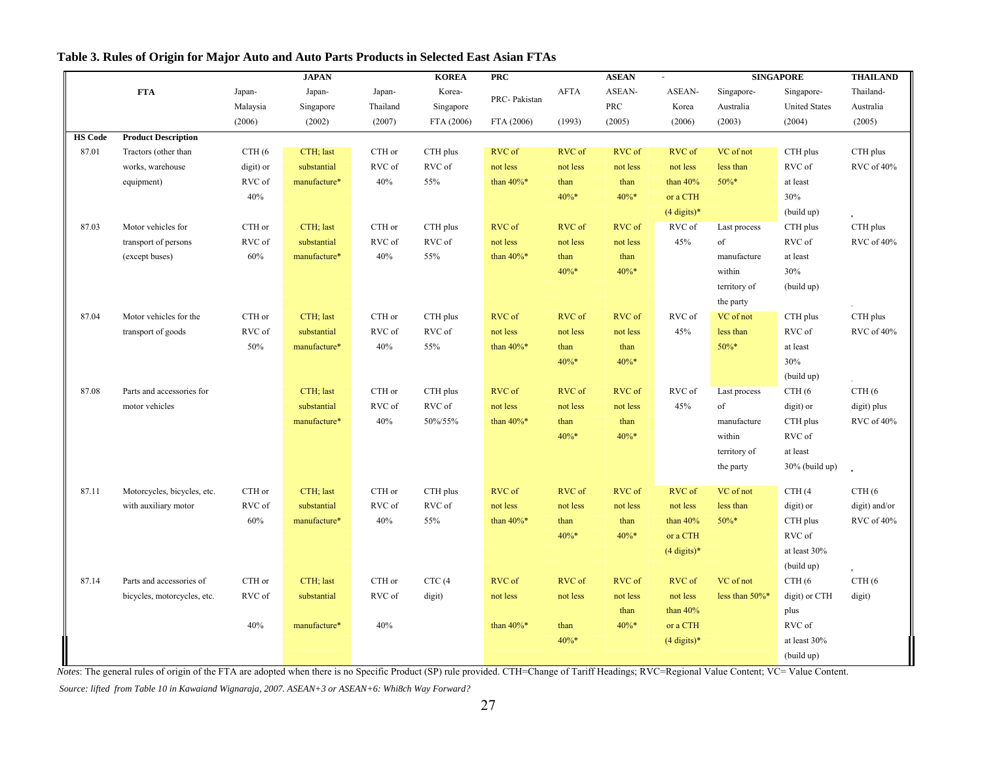|                |                             |                   | <b>JAPAN</b> |          | <b>KOREA</b> | <b>PRC</b>    | <b>ASEAN</b> |          |                        | <b>SINGAPORE</b> |                      | <b>THAILAND</b>   |
|----------------|-----------------------------|-------------------|--------------|----------|--------------|---------------|--------------|----------|------------------------|------------------|----------------------|-------------------|
|                | <b>FTA</b>                  | Japan-            | Japan-       | Japan-   | Korea-       | PRC-Pakistan  | <b>AFTA</b>  | ASEAN-   | ASEAN-                 | Singapore-       | Singapore-           | Thailand-         |
|                |                             | Malaysia          | Singapore    | Thailand | Singapore    |               |              | PRC      | Korea                  | Australia        | <b>United States</b> | Australia         |
|                |                             | (2006)            | (2002)       | (2007)   | FTA (2006)   | FTA (2006)    | (1993)       | (2005)   | (2006)                 | (2003)           | (2004)               | (2005)            |
| <b>HS Code</b> | <b>Product Description</b>  |                   |              |          |              |               |              |          |                        |                  |                      |                   |
| 87.01          | Tractors (other than        | CTH <sub>(6</sub> | CTH; last    | CTH or   | CTH plus     | RVC of        | RVC of       | RVC of   | RVC of                 | VC of not        | CTH plus             | CTH plus          |
|                | works, warehouse            | digit) or         | substantial  | RVC of   | RVC of       | not less      | not less     | not less | not less               | less than        | RVC of               | RVC of 40%        |
|                | equipment)                  | RVC of            | manufacture* | 40%      | 55%          | than $40\%$ * | than         | than     | than $40%$             | 50%*             | at least             |                   |
|                |                             | 40%               |              |          |              |               | $40\% *$     | $40\%*$  | or a CTH               |                  | 30%                  |                   |
|                |                             |                   |              |          |              |               |              |          | $(4 \text{ digits})^*$ |                  | (build up)           |                   |
| 87.03          | Motor vehicles for          | CTH or            | CTH; last    | CTH or   | CTH plus     | RVC of        | RVC of       | RVC of   | RVC of                 | Last process     | CTH plus             | CTH plus          |
|                | transport of persons        | RVC of            | substantial  | RVC of   | RVC of       | not less      | not less     | not less | 45%                    | of               | RVC of               | RVC of 40%        |
|                | (except buses)              | 60%               | manufacture* | 40%      | 55%          | than $40\%$ * | than         | than     |                        | manufacture      | at least             |                   |
|                |                             |                   |              |          |              |               | 40%*         | $40\%*$  |                        | within           | 30%                  |                   |
|                |                             |                   |              |          |              |               |              |          |                        | territory of     | (build up)           |                   |
|                |                             |                   |              |          |              |               |              |          |                        | the party        |                      |                   |
| 87.04          | Motor vehicles for the      | CTH or            | CTH; last    | CTH or   | CTH plus     | RVC of        | RVC of       | RVC of   | RVC of                 | VC of not        | CTH plus             | CTH plus          |
|                | transport of goods          | RVC of            | substantial  | RVC of   | RVC of       | not less      | not less     | not less | 45%                    | less than        | RVC of               | RVC of 40%        |
|                |                             | 50%               | manufacture* | 40%      | 55%          | than $40\%*$  | than         | than     |                        | 50%*             | at least             |                   |
|                |                             |                   |              |          |              |               | $40\%*$      | $40\%*$  |                        |                  | 30%                  |                   |
|                |                             |                   |              |          |              |               |              |          |                        |                  | (build up)           |                   |
| 87.08          | Parts and accessories for   |                   | CTH; last    | CTH or   | CTH plus     | RVC of        | RVC of       | RVC of   | RVC of                 | Last process     | CTH <sub>(6</sub>    | CTH <sub>(6</sub> |
|                | motor vehicles              |                   | substantial  | RVC of   | RVC of       | not less      | not less     | not less | 45%                    | of               | digit) or            | digit) plus       |
|                |                             |                   | manufacture* | 40%      | 50%/55%      | than $40\%$ * | than         | than     |                        | manufacture      | CTH plus             | RVC of 40%        |
|                |                             |                   |              |          |              |               | 40%*         | 40%*     |                        | within           | RVC of               |                   |
|                |                             |                   |              |          |              |               |              |          |                        | territory of     | at least             |                   |
|                |                             |                   |              |          |              |               |              |          |                        | the party        | $30\%$ (build up)    |                   |
| 87.11          | Motorcycles, bicycles, etc. | CTH or            | CTH; last    | CTH or   | CTH plus     | RVC of        | RVC of       | RVC of   | RVC of                 | VC of not        | CTH (4               | CTH <sub>(6</sub> |
|                | with auxiliary motor        | RVC of            | substantial  | RVC of   | RVC of       | not less      | not less     | not less | not less               | less than        | digit) or            | digit) and/or     |
|                |                             | 60%               | manufacture* | 40%      | 55%          | than $40\%$ * | than         | than     | than $40%$             | 50%*             | CTH plus             | RVC of 40%        |
|                |                             |                   |              |          |              |               | 40%*         | 40%*     | or a CTH               |                  | RVC of               |                   |
|                |                             |                   |              |          |              |               |              |          | $(4 \text{ digits})^*$ |                  | at least 30%         |                   |
|                |                             |                   |              |          |              |               |              |          |                        |                  | (build up)           |                   |
| 87.14          | Parts and accessories of    | CTH or            | CTH; last    | CTH or   | CTC (4       | RVC of        | RVC of       | RVC of   | RVC of                 | VC of not        | CTH <sub>(6</sub>    | CTH (6            |
|                | bicycles, motorcycles, etc. | RVC of            | substantial  | RVC of   | digit)       | not less      | not less     | not less | not less               | less than 50%*   | digit) or CTH        | digit)            |
|                |                             |                   |              |          |              |               |              | than     | than $40%$             |                  | plus                 |                   |
|                |                             | 40%               | manufacture* | 40%      |              | than $40\%$ * | than         | $40\%$ * | or a CTH               |                  | RVC of               |                   |
|                |                             |                   |              |          |              |               | 40%*         |          | $(4 \text{ digits})^*$ |                  | at least 30%         |                   |
|                |                             |                   |              |          |              |               |              |          |                        |                  | (build up)           |                   |
|                |                             |                   |              |          |              |               |              |          |                        |                  |                      |                   |

#### **Table 3. Rules of Origin for Major Auto and Auto Parts Products in Selected East Asian FTAs**

*Notes*: The general rules of origin of the FTA are adopted when there is no Specific Product (SP) rule provided. CTH=Change of Tariff Headings; RVC=Regional Value Content; VC= Value Content.

 *Source: lifted from Table 10 in Kawaiand Wignaraja, 2007. ASEAN+3 or ASEAN+6: Whi8ch Way Forward?*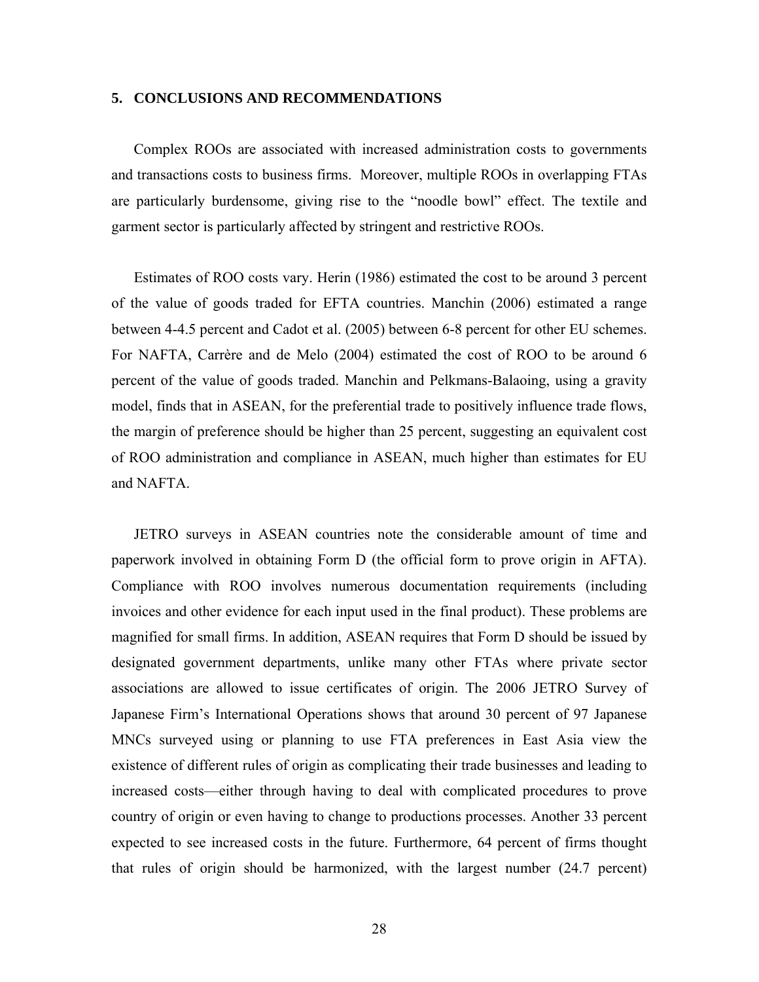#### **5. CONCLUSIONS AND RECOMMENDATIONS**

Complex ROOs are associated with increased administration costs to governments and transactions costs to business firms. Moreover, multiple ROOs in overlapping FTAs are particularly burdensome, giving rise to the "noodle bowl" effect. The textile and garment sector is particularly affected by stringent and restrictive ROOs.

Estimates of ROO costs vary. Herin (1986) estimated the cost to be around 3 percent of the value of goods traded for EFTA countries. Manchin (2006) estimated a range between 4-4.5 percent and Cadot et al. (2005) between 6-8 percent for other EU schemes. For NAFTA, Carrère and de Melo (2004) estimated the cost of ROO to be around 6 percent of the value of goods traded. Manchin and Pelkmans-Balaoing, using a gravity model, finds that in ASEAN, for the preferential trade to positively influence trade flows, the margin of preference should be higher than 25 percent, suggesting an equivalent cost of ROO administration and compliance in ASEAN, much higher than estimates for EU and NAFTA.

JETRO surveys in ASEAN countries note the considerable amount of time and paperwork involved in obtaining Form D (the official form to prove origin in AFTA). Compliance with ROO involves numerous documentation requirements (including invoices and other evidence for each input used in the final product). These problems are magnified for small firms. In addition, ASEAN requires that Form D should be issued by designated government departments, unlike many other FTAs where private sector associations are allowed to issue certificates of origin. The 2006 JETRO Survey of Japanese Firm's International Operations shows that around 30 percent of 97 Japanese MNCs surveyed using or planning to use FTA preferences in East Asia view the existence of different rules of origin as complicating their trade businesses and leading to increased costs—either through having to deal with complicated procedures to prove country of origin or even having to change to productions processes. Another 33 percent expected to see increased costs in the future. Furthermore, 64 percent of firms thought that rules of origin should be harmonized, with the largest number (24.7 percent)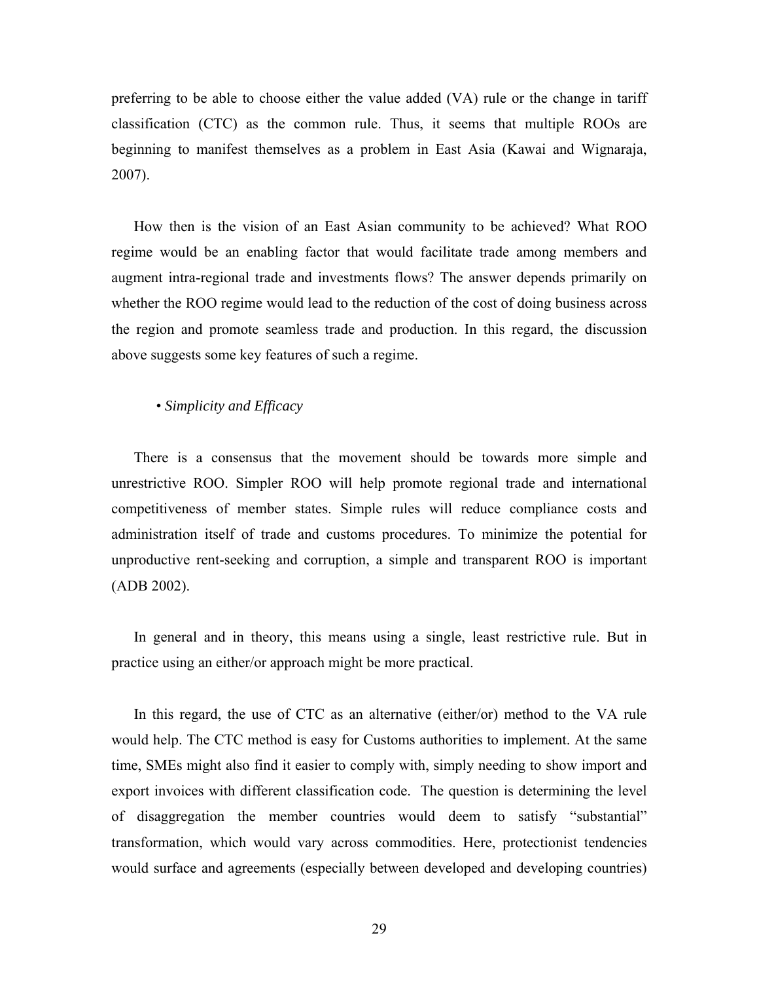preferring to be able to choose either the value added (VA) rule or the change in tariff classification (CTC) as the common rule. Thus, it seems that multiple ROOs are beginning to manifest themselves as a problem in East Asia (Kawai and Wignaraja, 2007).

How then is the vision of an East Asian community to be achieved? What ROO regime would be an enabling factor that would facilitate trade among members and augment intra-regional trade and investments flows? The answer depends primarily on whether the ROO regime would lead to the reduction of the cost of doing business across the region and promote seamless trade and production. In this regard, the discussion above suggests some key features of such a regime.

• *Simplicity and Efficacy* 

There is a consensus that the movement should be towards more simple and unrestrictive ROO. Simpler ROO will help promote regional trade and international competitiveness of member states. Simple rules will reduce compliance costs and administration itself of trade and customs procedures. To minimize the potential for unproductive rent-seeking and corruption, a simple and transparent ROO is important (ADB 2002).

In general and in theory, this means using a single, least restrictive rule. But in practice using an either/or approach might be more practical.

In this regard, the use of CTC as an alternative (either/or) method to the VA rule would help. The CTC method is easy for Customs authorities to implement. At the same time, SMEs might also find it easier to comply with, simply needing to show import and export invoices with different classification code. The question is determining the level of disaggregation the member countries would deem to satisfy "substantial" transformation, which would vary across commodities. Here, protectionist tendencies would surface and agreements (especially between developed and developing countries)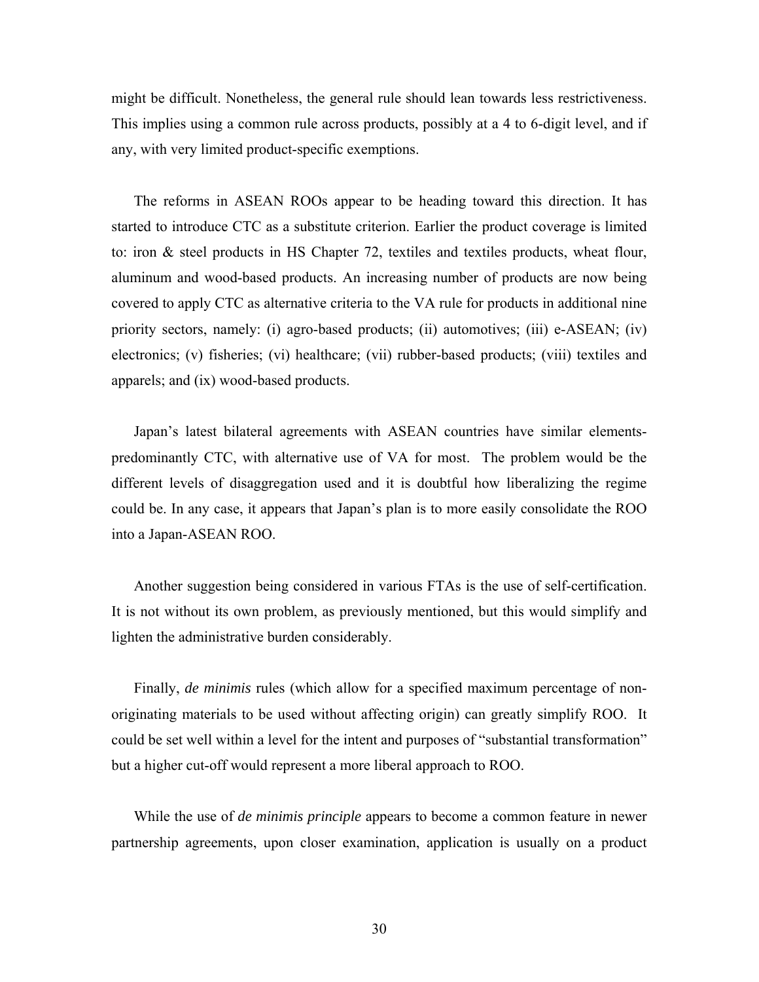might be difficult. Nonetheless, the general rule should lean towards less restrictiveness. This implies using a common rule across products, possibly at a 4 to 6-digit level, and if any, with very limited product-specific exemptions.

The reforms in ASEAN ROOs appear to be heading toward this direction. It has started to introduce CTC as a substitute criterion. Earlier the product coverage is limited to: iron & steel products in HS Chapter 72, textiles and textiles products, wheat flour, aluminum and wood-based products. An increasing number of products are now being covered to apply CTC as alternative criteria to the VA rule for products in additional nine priority sectors, namely: (i) agro-based products; (ii) automotives; (iii) e-ASEAN; (iv) electronics; (v) fisheries; (vi) healthcare; (vii) rubber-based products; (viii) textiles and apparels; and (ix) wood-based products.

Japan's latest bilateral agreements with ASEAN countries have similar elementspredominantly CTC, with alternative use of VA for most. The problem would be the different levels of disaggregation used and it is doubtful how liberalizing the regime could be. In any case, it appears that Japan's plan is to more easily consolidate the ROO into a Japan-ASEAN ROO.

Another suggestion being considered in various FTAs is the use of self-certification. It is not without its own problem, as previously mentioned, but this would simplify and lighten the administrative burden considerably.

Finally, *de minimis* rules (which allow for a specified maximum percentage of nonoriginating materials to be used without affecting origin) can greatly simplify ROO. It could be set well within a level for the intent and purposes of "substantial transformation" but a higher cut-off would represent a more liberal approach to ROO.

While the use of *de minimis principle* appears to become a common feature in newer partnership agreements, upon closer examination, application is usually on a product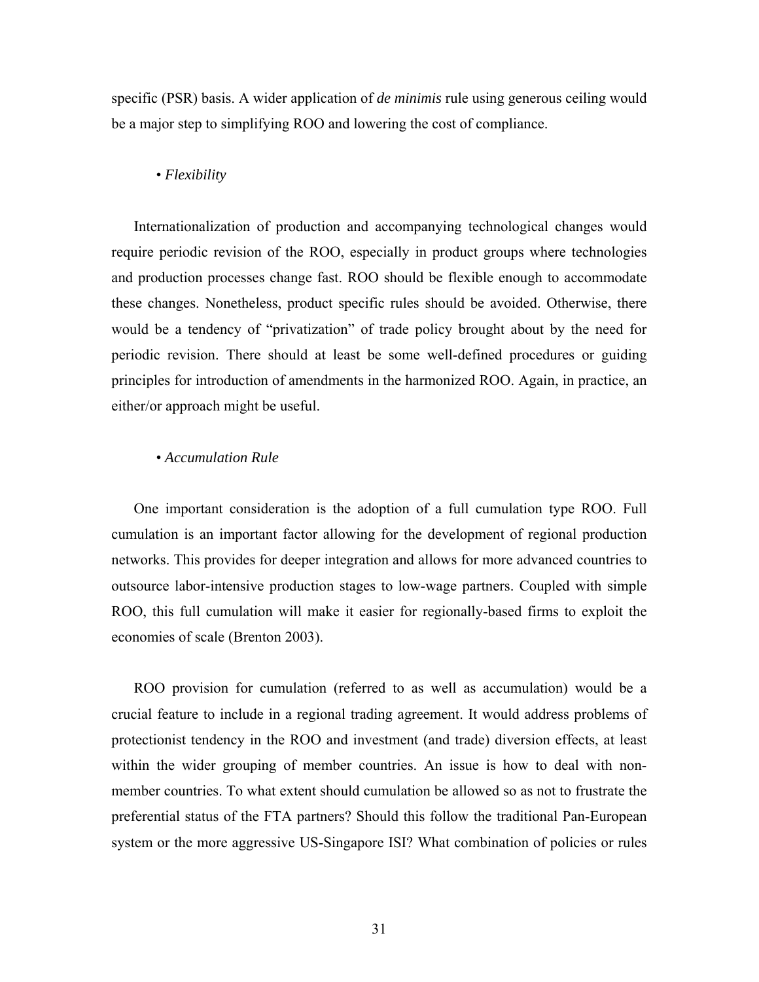specific (PSR) basis. A wider application of *de minimis* rule using generous ceiling would be a major step to simplifying ROO and lowering the cost of compliance.

#### • *Flexibility*

Internationalization of production and accompanying technological changes would require periodic revision of the ROO, especially in product groups where technologies and production processes change fast. ROO should be flexible enough to accommodate these changes. Nonetheless, product specific rules should be avoided. Otherwise, there would be a tendency of "privatization" of trade policy brought about by the need for periodic revision. There should at least be some well-defined procedures or guiding principles for introduction of amendments in the harmonized ROO. Again, in practice, an either/or approach might be useful.

### • *Accumulation Rule*

One important consideration is the adoption of a full cumulation type ROO. Full cumulation is an important factor allowing for the development of regional production networks. This provides for deeper integration and allows for more advanced countries to outsource labor-intensive production stages to low-wage partners. Coupled with simple ROO, this full cumulation will make it easier for regionally-based firms to exploit the economies of scale (Brenton 2003).

ROO provision for cumulation (referred to as well as accumulation) would be a crucial feature to include in a regional trading agreement. It would address problems of protectionist tendency in the ROO and investment (and trade) diversion effects, at least within the wider grouping of member countries. An issue is how to deal with nonmember countries. To what extent should cumulation be allowed so as not to frustrate the preferential status of the FTA partners? Should this follow the traditional Pan-European system or the more aggressive US-Singapore ISI? What combination of policies or rules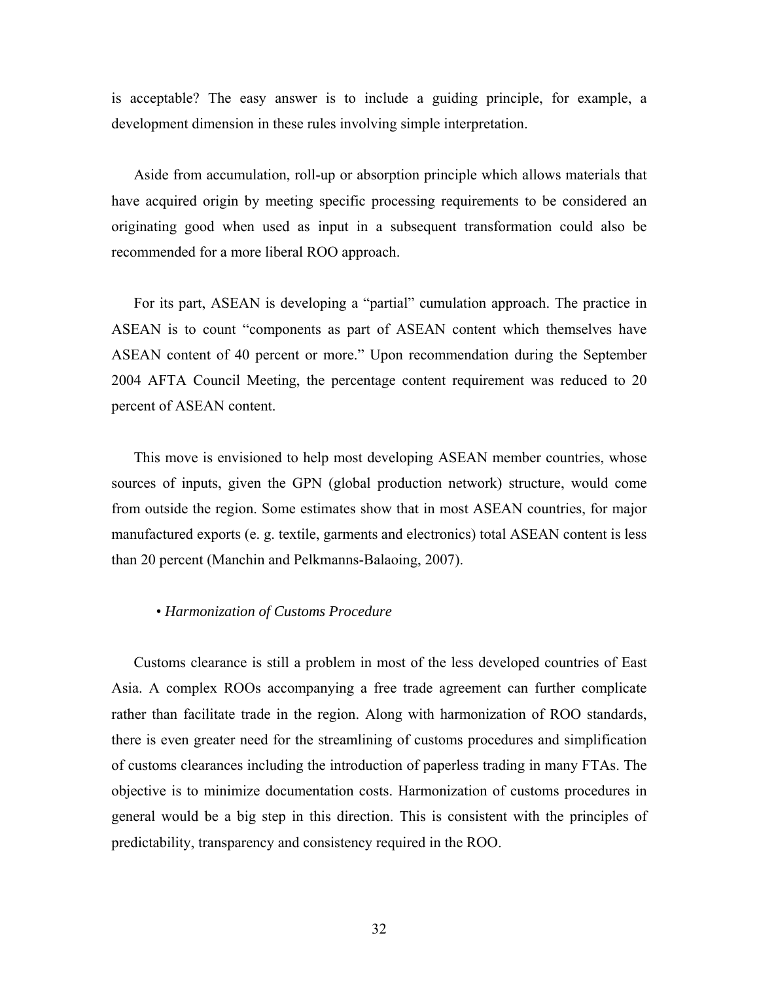is acceptable? The easy answer is to include a guiding principle, for example, a development dimension in these rules involving simple interpretation.

Aside from accumulation, roll-up or absorption principle which allows materials that have acquired origin by meeting specific processing requirements to be considered an originating good when used as input in a subsequent transformation could also be recommended for a more liberal ROO approach.

For its part, ASEAN is developing a "partial" cumulation approach. The practice in ASEAN is to count "components as part of ASEAN content which themselves have ASEAN content of 40 percent or more." Upon recommendation during the September 2004 AFTA Council Meeting, the percentage content requirement was reduced to 20 percent of ASEAN content.

This move is envisioned to help most developing ASEAN member countries, whose sources of inputs, given the GPN (global production network) structure, would come from outside the region. Some estimates show that in most ASEAN countries, for major manufactured exports (e. g. textile, garments and electronics) total ASEAN content is less than 20 percent (Manchin and Pelkmanns-Balaoing, 2007).

#### • *Harmonization of Customs Procedure*

Customs clearance is still a problem in most of the less developed countries of East Asia. A complex ROOs accompanying a free trade agreement can further complicate rather than facilitate trade in the region. Along with harmonization of ROO standards, there is even greater need for the streamlining of customs procedures and simplification of customs clearances including the introduction of paperless trading in many FTAs. The objective is to minimize documentation costs. Harmonization of customs procedures in general would be a big step in this direction. This is consistent with the principles of predictability, transparency and consistency required in the ROO.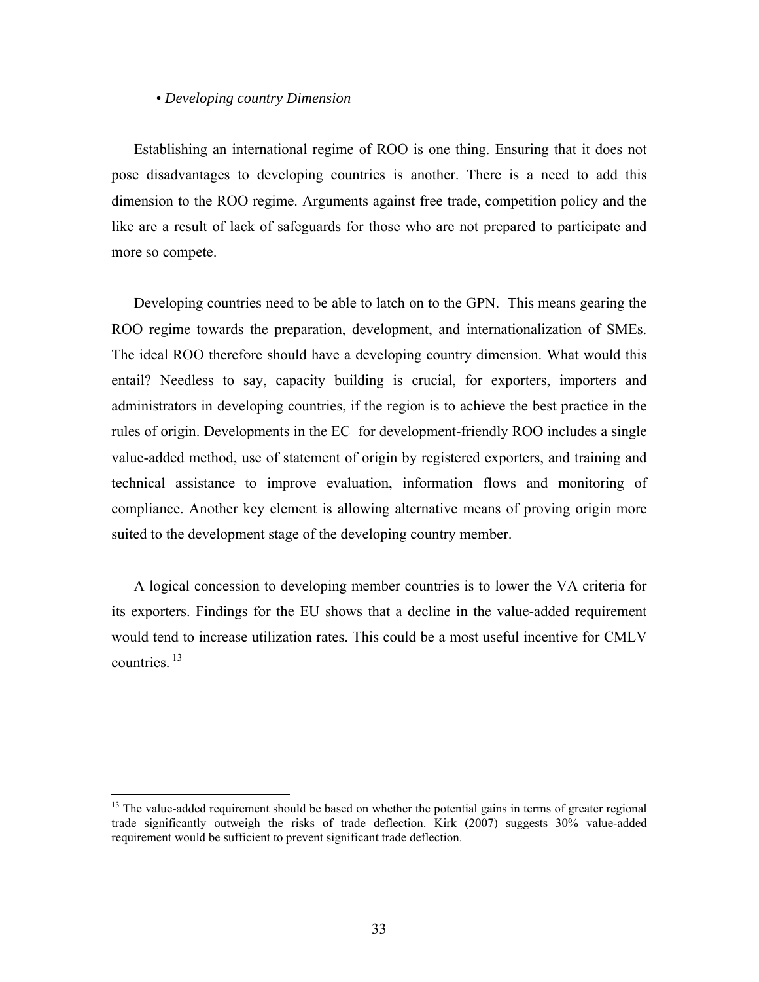#### • *Developing country Dimension*

Establishing an international regime of ROO is one thing. Ensuring that it does not pose disadvantages to developing countries is another. There is a need to add this dimension to the ROO regime. Arguments against free trade, competition policy and the like are a result of lack of safeguards for those who are not prepared to participate and more so compete.

Developing countries need to be able to latch on to the GPN. This means gearing the ROO regime towards the preparation, development, and internationalization of SMEs. The ideal ROO therefore should have a developing country dimension. What would this entail? Needless to say, capacity building is crucial, for exporters, importers and administrators in developing countries, if the region is to achieve the best practice in the rules of origin. Developments in the EC for development-friendly ROO includes a single value-added method, use of statement of origin by registered exporters, and training and technical assistance to improve evaluation, information flows and monitoring of compliance. Another key element is allowing alternative means of proving origin more suited to the development stage of the developing country member.

A logical concession to developing member countries is to lower the VA criteria for its exporters. Findings for the EU shows that a decline in the value-added requirement would tend to increase utilization rates. This could be a most useful incentive for CMLV countries. 13

 $\overline{a}$ 

<sup>&</sup>lt;sup>13</sup> The value-added requirement should be based on whether the potential gains in terms of greater regional trade significantly outweigh the risks of trade deflection. Kirk (2007) suggests 30% value-added requirement would be sufficient to prevent significant trade deflection.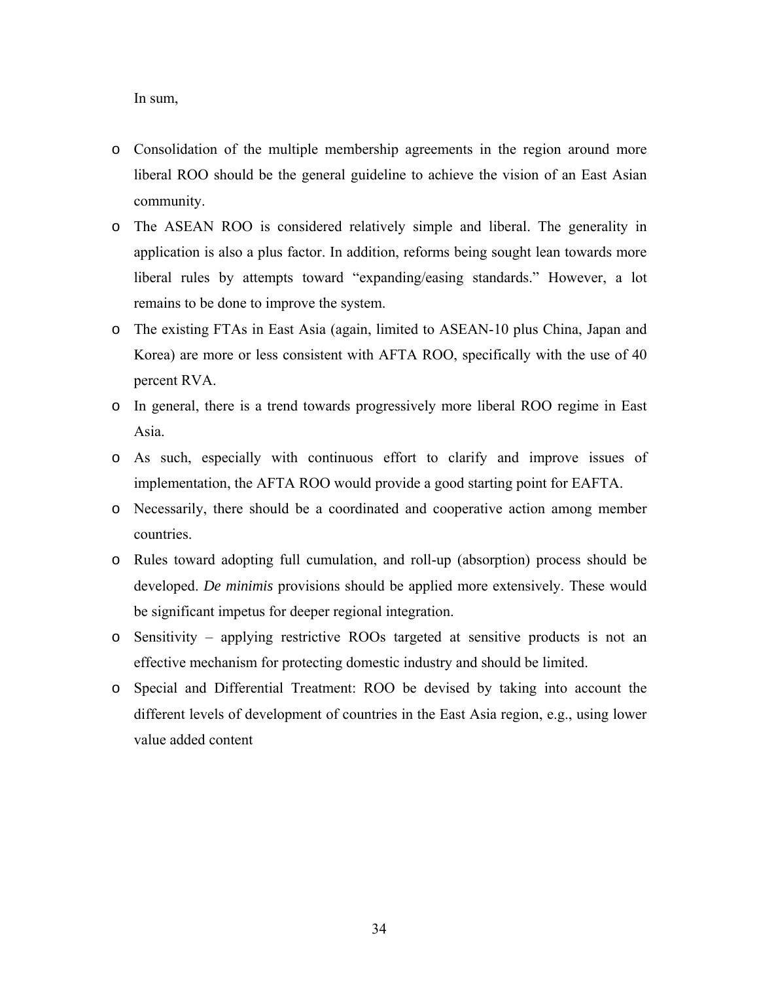In sum,

- o Consolidation of the multiple membership agreements in the region around more liberal ROO should be the general guideline to achieve the vision of an East Asian community.
- o The ASEAN ROO is considered relatively simple and liberal. The generality in application is also a plus factor. In addition, reforms being sought lean towards more liberal rules by attempts toward "expanding/easing standards." However, a lot remains to be done to improve the system.
- o The existing FTAs in East Asia (again, limited to ASEAN-10 plus China, Japan and Korea) are more or less consistent with AFTA ROO, specifically with the use of 40 percent RVA.
- o In general, there is a trend towards progressively more liberal ROO regime in East Asia.
- o As such, especially with continuous effort to clarify and improve issues of implementation, the AFTA ROO would provide a good starting point for EAFTA.
- o Necessarily, there should be a coordinated and cooperative action among member countries.
- o Rules toward adopting full cumulation, and roll-up (absorption) process should be developed. *De minimis* provisions should be applied more extensively. These would be significant impetus for deeper regional integration.
- o Sensitivity applying restrictive ROOs targeted at sensitive products is not an effective mechanism for protecting domestic industry and should be limited.
- o Special and Differential Treatment: ROO be devised by taking into account the different levels of development of countries in the East Asia region, e.g., using lower value added content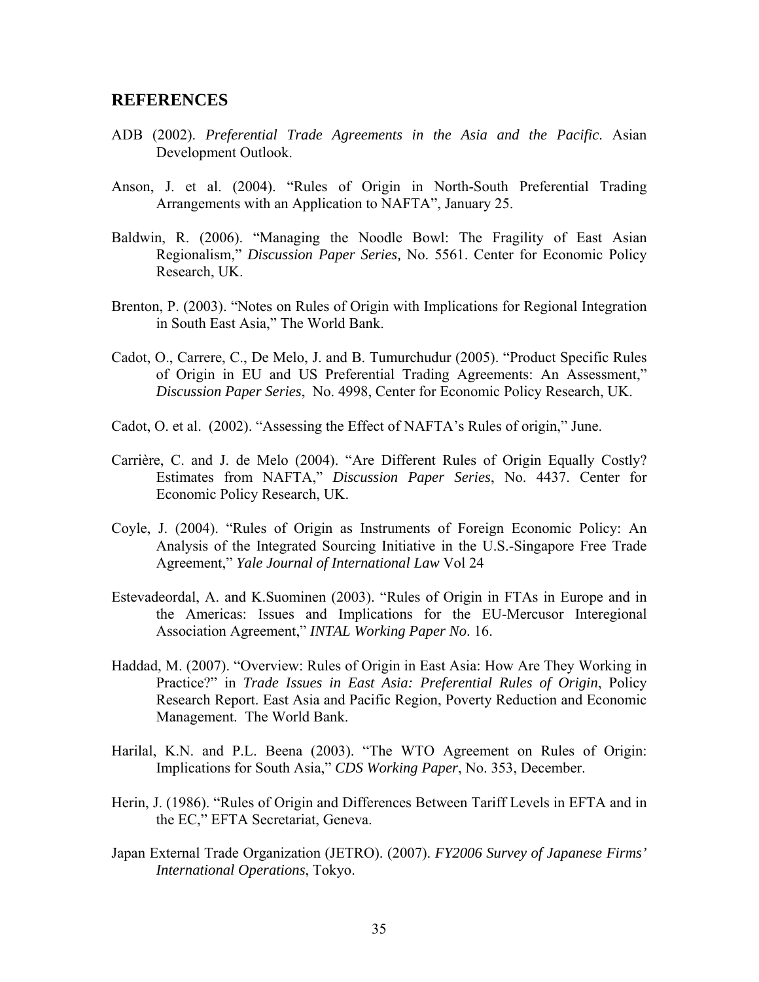#### **REFERENCES**

- ADB (2002). *Preferential Trade Agreements in the Asia and the Pacific*. Asian Development Outlook.
- Anson, J. et al. (2004). "Rules of Origin in North-South Preferential Trading Arrangements with an Application to NAFTA", January 25.
- Baldwin, R. (2006). "Managing the Noodle Bowl: The Fragility of East Asian Regionalism," *Discussion Paper Series,* No. 5561. Center for Economic Policy Research, UK.
- Brenton, P. (2003). "Notes on Rules of Origin with Implications for Regional Integration in South East Asia," The World Bank.
- Cadot, O., Carrere, C., De Melo, J. and B. Tumurchudur (2005). "Product Specific Rules of Origin in EU and US Preferential Trading Agreements: An Assessment," *Discussion Paper Series*, No. 4998, Center for Economic Policy Research, UK.
- Cadot, O. et al. (2002). "Assessing the Effect of NAFTA's Rules of origin," June.
- Carrière, C. and J. de Melo (2004). "Are Different Rules of Origin Equally Costly? Estimates from NAFTA," *Discussion Paper Series*, No. 4437. Center for Economic Policy Research, UK.
- Coyle, J. (2004). "Rules of Origin as Instruments of Foreign Economic Policy: An Analysis of the Integrated Sourcing Initiative in the U.S.-Singapore Free Trade Agreement," *Yale Journal of International Law* Vol 24
- Estevadeordal, A. and K.Suominen (2003). "Rules of Origin in FTAs in Europe and in the Americas: Issues and Implications for the EU-Mercusor Interegional Association Agreement," *INTAL Working Paper No*. 16.
- Haddad, M. (2007). "Overview: Rules of Origin in East Asia: How Are They Working in Practice?" in *Trade Issues in East Asia: Preferential Rules of Origin*, Policy Research Report. East Asia and Pacific Region, Poverty Reduction and Economic Management. The World Bank.
- Harilal, K.N. and P.L. Beena (2003). "The WTO Agreement on Rules of Origin: Implications for South Asia," *CDS Working Paper*, No. 353, December.
- Herin, J. (1986). "Rules of Origin and Differences Between Tariff Levels in EFTA and in the EC," EFTA Secretariat, Geneva.
- Japan External Trade Organization (JETRO). (2007). *FY2006 Survey of Japanese Firms' International Operations*, Tokyo.